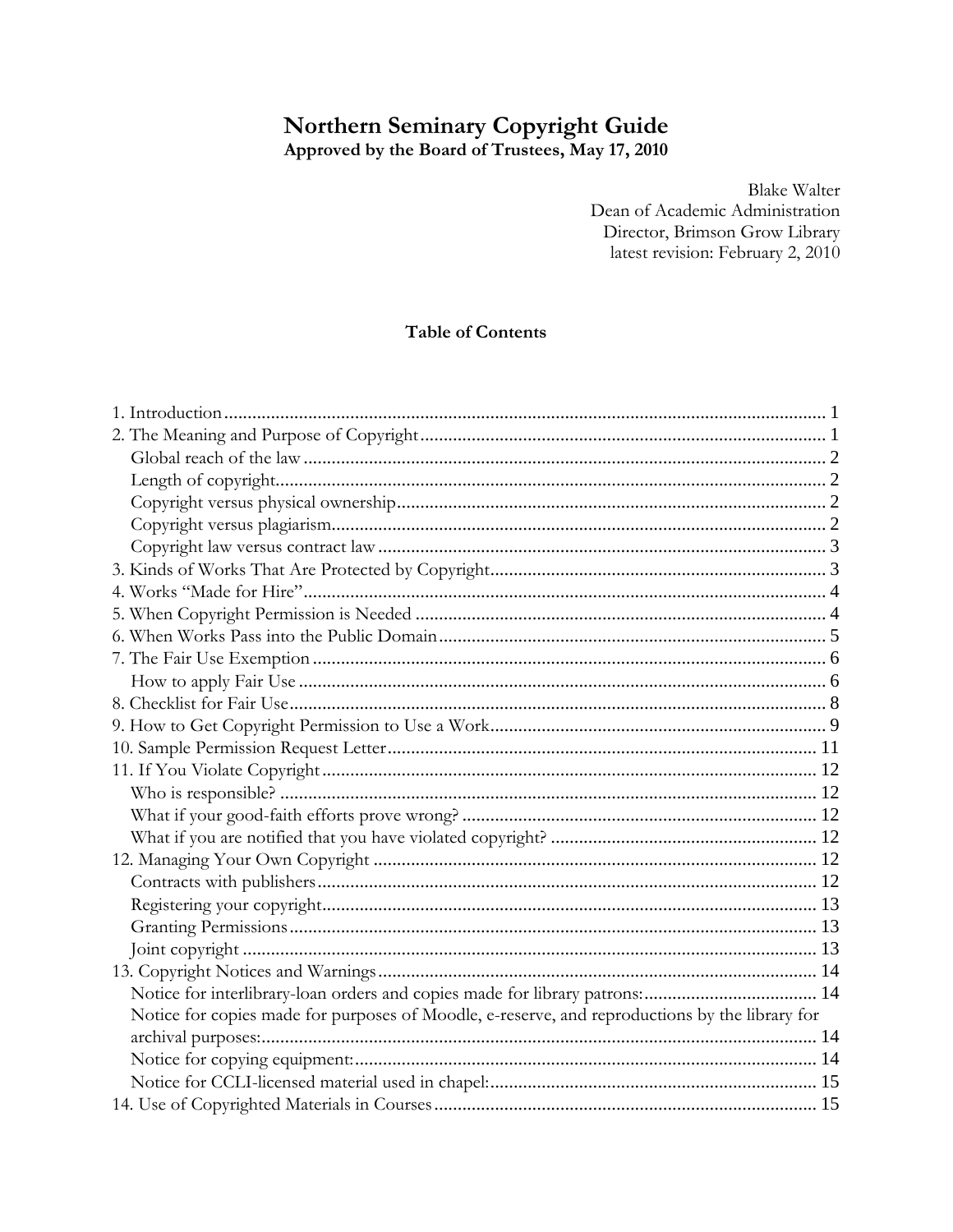# Northern Seminary Copyright Guide

Approved by the Board of Trustees, May 17, 2010

**Blake Walter** Dean of Academic Administration Director, Brimson Grow Library latest revision: February 2, 2010

### **Table of Contents**

| Notice for copies made for purposes of Moodle, e-reserve, and reproductions by the library for |  |
|------------------------------------------------------------------------------------------------|--|
|                                                                                                |  |
|                                                                                                |  |
|                                                                                                |  |
|                                                                                                |  |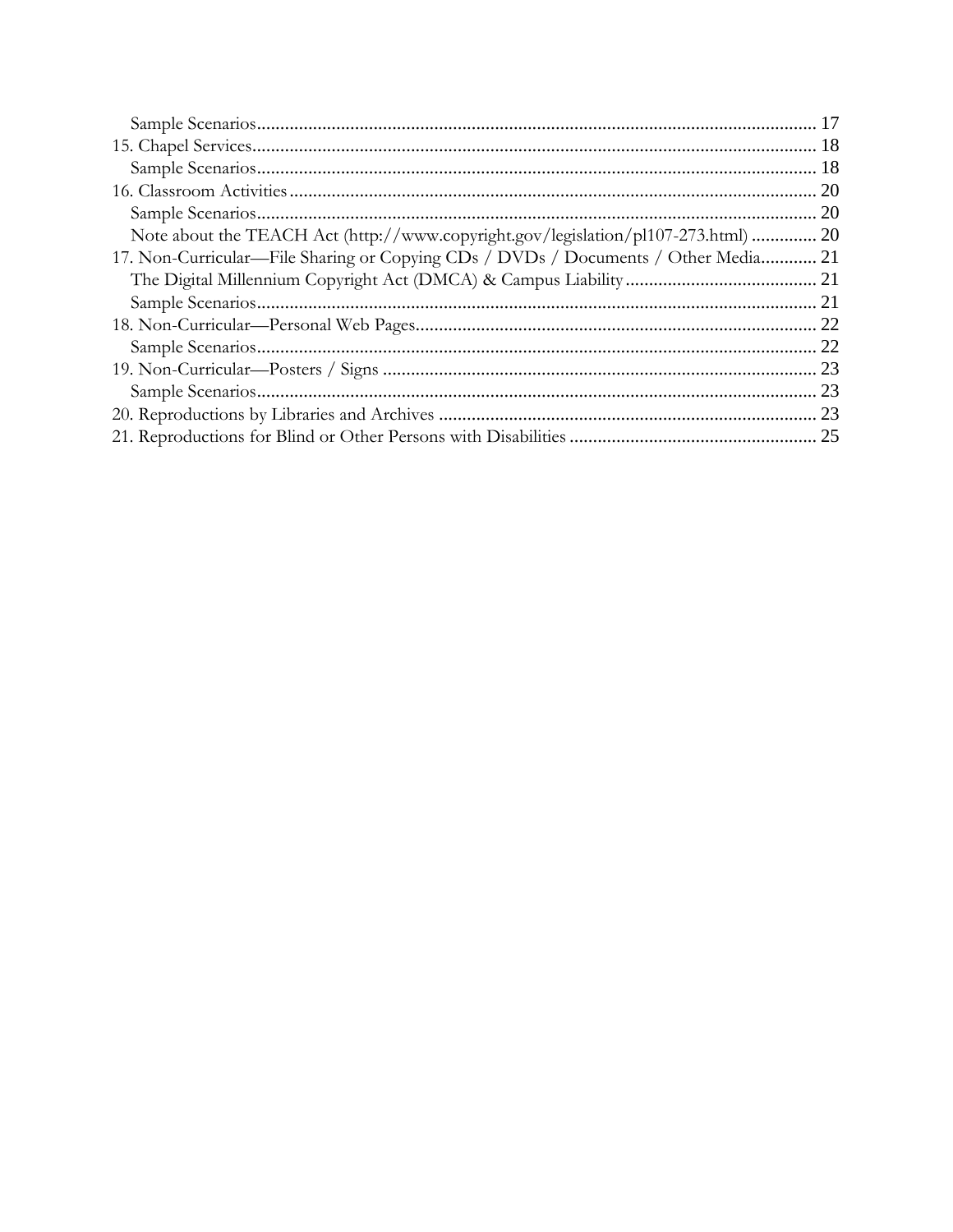| Note about the TEACH Act (http://www.copyright.gov/legislation/pl107-273.html)  20 |    |
|------------------------------------------------------------------------------------|----|
| 17. Non-Curricular—File Sharing or Copying CDs / DVDs / Documents / Other Media 21 |    |
|                                                                                    |    |
|                                                                                    |    |
|                                                                                    |    |
|                                                                                    |    |
|                                                                                    |    |
|                                                                                    | 23 |
|                                                                                    |    |
|                                                                                    |    |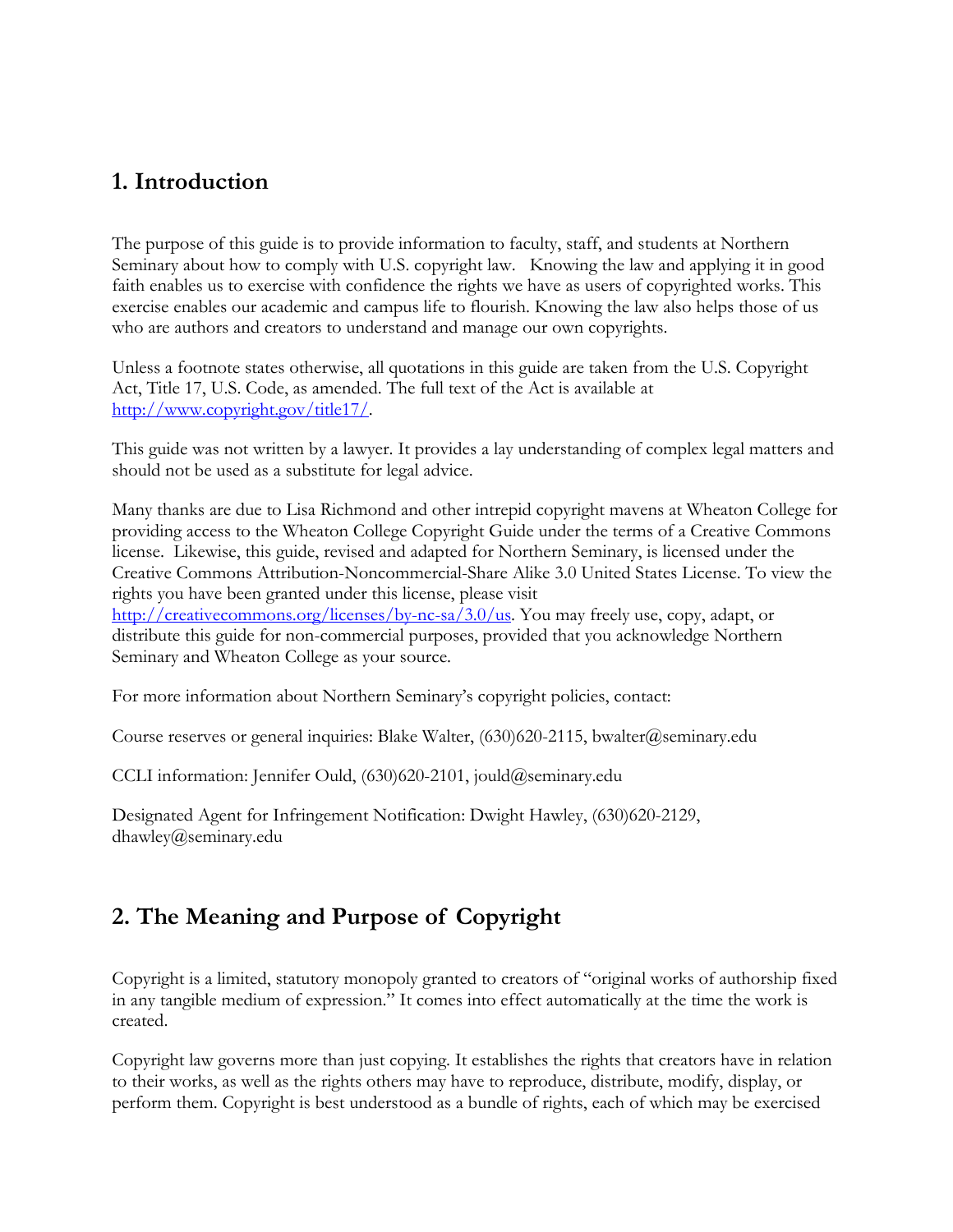### **1. Introduction**

The purpose of this guide is to provide information to faculty, staff, and students at Northern Seminary about how to comply with U.S. copyright law. Knowing the law and applying it in good faith enables us to exercise with confidence the rights we have as users of copyrighted works. This exercise enables our academic and campus life to flourish. Knowing the law also helps those of us who are authors and creators to understand and manage our own copyrights.

Unless a footnote states otherwise, all quotations in this guide are taken from the U.S. Copyright Act, Title 17, U.S. Code, as amended. The full text of the Act is available at http://www.copyright.gov/title17/.

This guide was not written by a lawyer. It provides a lay understanding of complex legal matters and should not be used as a substitute for legal advice.

Many thanks are due to Lisa Richmond and other intrepid copyright mavens at Wheaton College for providing access to the Wheaton College Copyright Guide under the terms of a Creative Commons license. Likewise, this guide, revised and adapted for Northern Seminary, is licensed under the Creative Commons Attribution-Noncommercial-Share Alike 3.0 United States License. To view the rights you have been granted under this license, please visit http://creativecommons.org/licenses/by-nc-sa/3.0/us. You may freely use, copy, adapt, or distribute this guide for non-commercial purposes, provided that you acknowledge Northern Seminary and Wheaton College as your source.

For more information about Northern Seminary's copyright policies, contact:

Course reserves or general inquiries: Blake Walter, (630)620-2115, bwalter@seminary.edu

CCLI information: Jennifer Ould, (630)620-2101, jould@seminary.edu

Designated Agent for Infringement Notification: Dwight Hawley, (630)620-2129, dhawley@seminary.edu

# **2. The Meaning and Purpose of Copyright**

Copyright is a limited, statutory monopoly granted to creators of "original works of authorship fixed in any tangible medium of expression." It comes into effect automatically at the time the work is created.

Copyright law governs more than just copying. It establishes the rights that creators have in relation to their works, as well as the rights others may have to reproduce, distribute, modify, display, or perform them. Copyright is best understood as a bundle of rights, each of which may be exercised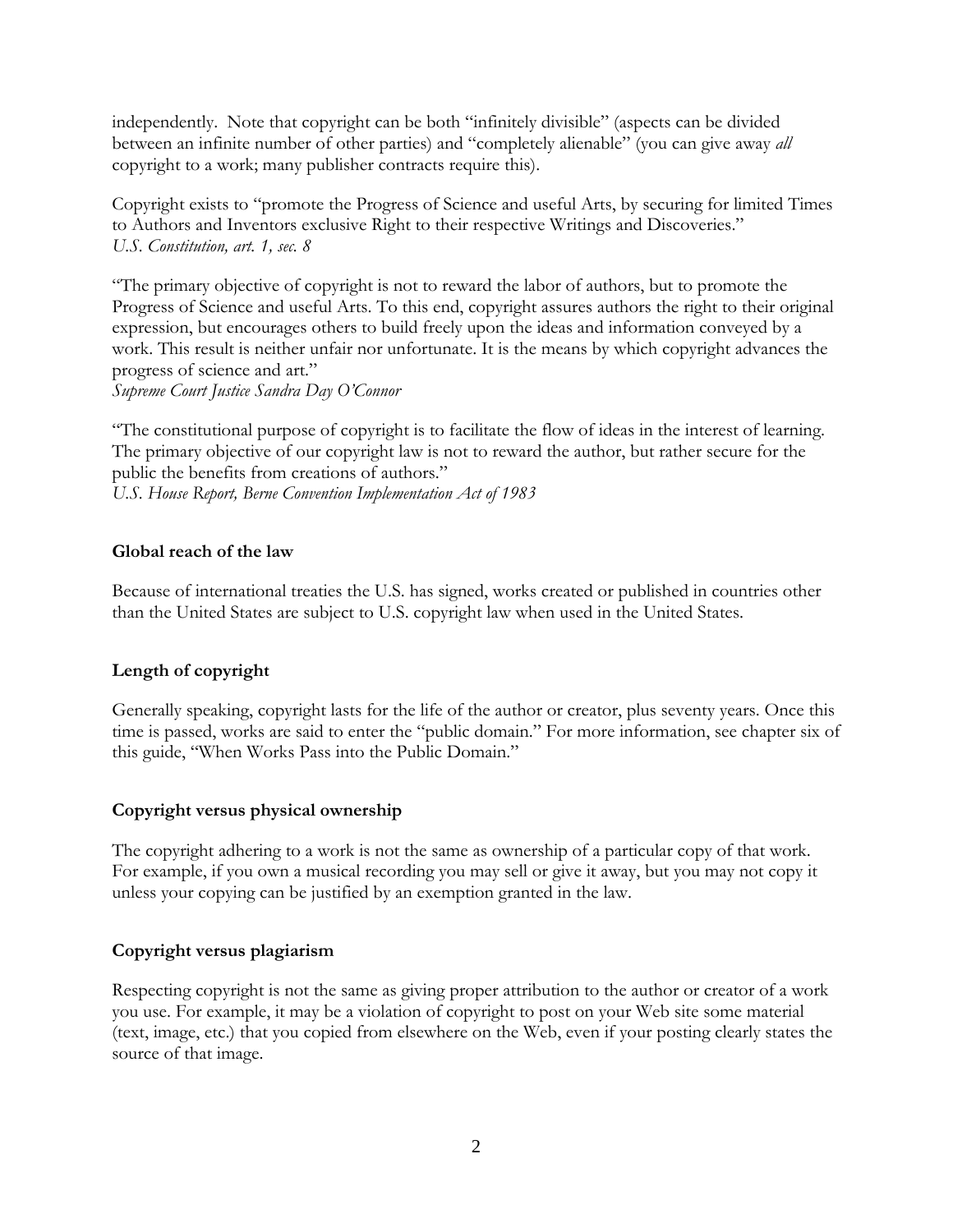independently. Note that copyright can be both "infinitely divisible" (aspects can be divided between an infinite number of other parties) and "completely alienable" (you can give away *all* copyright to a work; many publisher contracts require this).

Copyright exists to "promote the Progress of Science and useful Arts, by securing for limited Times to Authors and Inventors exclusive Right to their respective Writings and Discoveries." *U.S. Constitution, art. 1, sec. 8* 

"The primary objective of copyright is not to reward the labor of authors, but to promote the Progress of Science and useful Arts. To this end, copyright assures authors the right to their original expression, but encourages others to build freely upon the ideas and information conveyed by a work. This result is neither unfair nor unfortunate. It is the means by which copyright advances the progress of science and art."

*Supreme Court Justice Sandra Day O'Connor* 

"The constitutional purpose of copyright is to facilitate the flow of ideas in the interest of learning. The primary objective of our copyright law is not to reward the author, but rather secure for the public the benefits from creations of authors."

*U.S. House Report, Berne Convention Implementation Act of 1983* 

### **Global reach of the law**

Because of international treaties the U.S. has signed, works created or published in countries other than the United States are subject to U.S. copyright law when used in the United States.

### **Length of copyright**

Generally speaking, copyright lasts for the life of the author or creator, plus seventy years. Once this time is passed, works are said to enter the "public domain." For more information, see chapter six of this guide, "When Works Pass into the Public Domain."

### **Copyright versus physical ownership**

The copyright adhering to a work is not the same as ownership of a particular copy of that work. For example, if you own a musical recording you may sell or give it away, but you may not copy it unless your copying can be justified by an exemption granted in the law.

### **Copyright versus plagiarism**

Respecting copyright is not the same as giving proper attribution to the author or creator of a work you use. For example, it may be a violation of copyright to post on your Web site some material (text, image, etc.) that you copied from elsewhere on the Web, even if your posting clearly states the source of that image.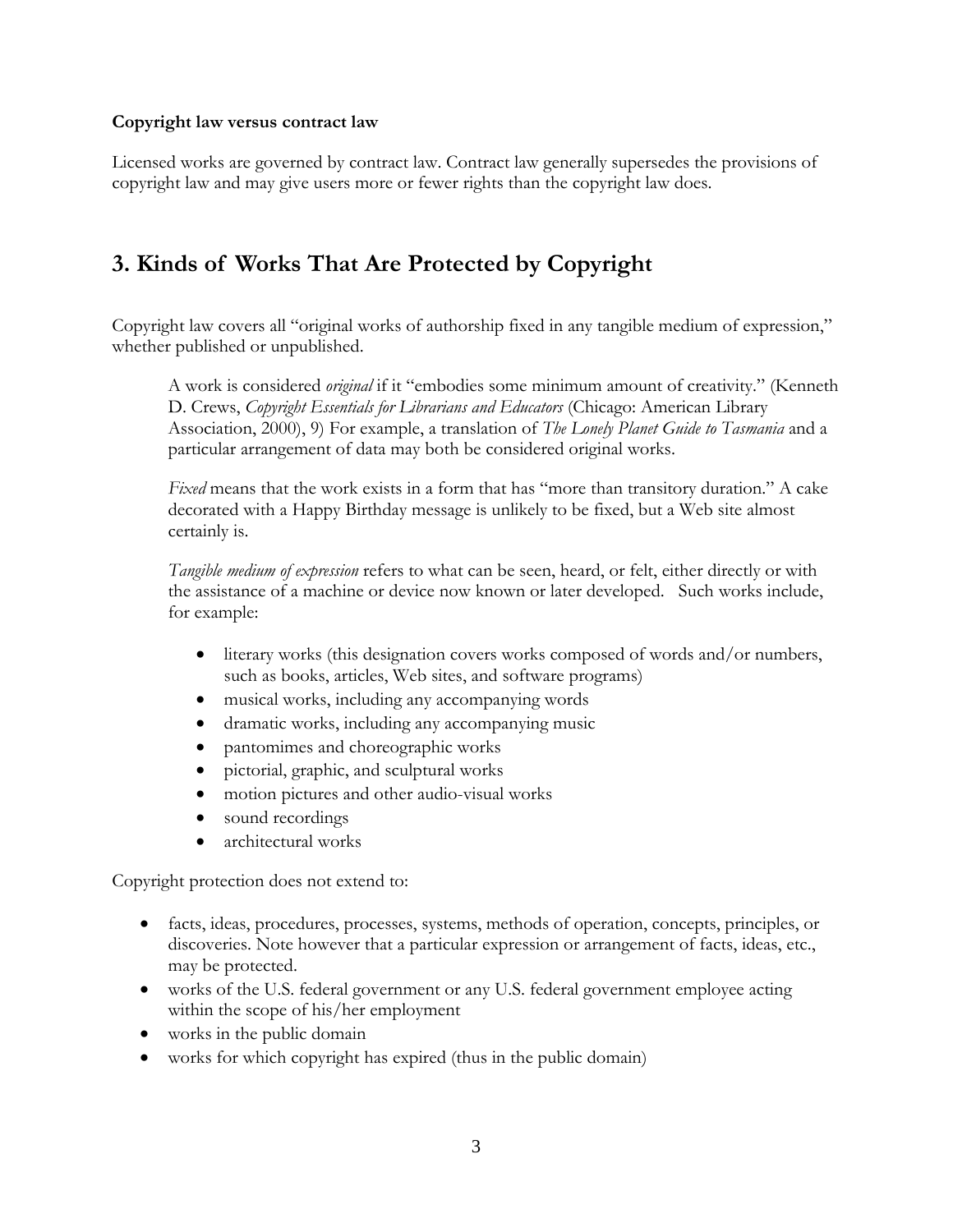### **Copyright law versus contract law**

Licensed works are governed by contract law. Contract law generally supersedes the provisions of copyright law and may give users more or fewer rights than the copyright law does.

### **3. Kinds of Works That Are Protected by Copyright**

Copyright law covers all "original works of authorship fixed in any tangible medium of expression," whether published or unpublished.

A work is considered *original* if it "embodies some minimum amount of creativity." (Kenneth D. Crews, *Copyright Essentials for Librarians and Educators* (Chicago: American Library Association, 2000), 9) For example, a translation of *The Lonely Planet Guide to Tasmania* and a particular arrangement of data may both be considered original works.

*Fixed* means that the work exists in a form that has "more than transitory duration." A cake decorated with a Happy Birthday message is unlikely to be fixed, but a Web site almost certainly is.

*Tangible medium of expression* refers to what can be seen, heard, or felt, either directly or with the assistance of a machine or device now known or later developed. Such works include, for example:

- literary works (this designation covers works composed of words and/or numbers, such as books, articles, Web sites, and software programs)
- musical works, including any accompanying words
- dramatic works, including any accompanying music
- pantomimes and choreographic works
- pictorial, graphic, and sculptural works
- motion pictures and other audio-visual works
- sound recordings
- architectural works

Copyright protection does not extend to:

- facts, ideas, procedures, processes, systems, methods of operation, concepts, principles, or discoveries. Note however that a particular expression or arrangement of facts, ideas, etc., may be protected.
- works of the U.S. federal government or any U.S. federal government employee acting within the scope of his/her employment
- works in the public domain
- works for which copyright has expired (thus in the public domain)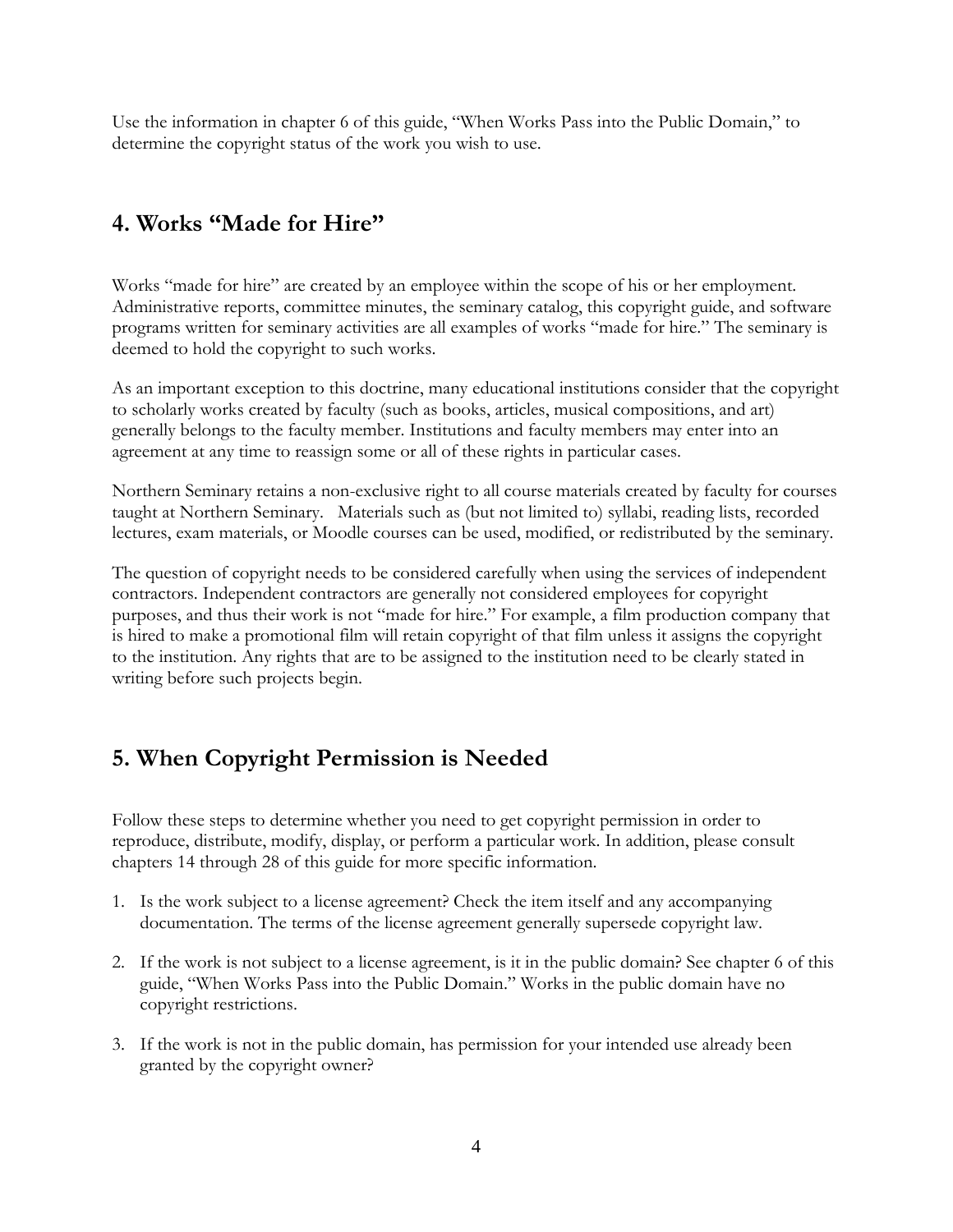Use the information in chapter 6 of this guide, "When Works Pass into the Public Domain," to determine the copyright status of the work you wish to use.

### **4. Works "Made for Hire"**

Works "made for hire" are created by an employee within the scope of his or her employment. Administrative reports, committee minutes, the seminary catalog, this copyright guide, and software programs written for seminary activities are all examples of works "made for hire." The seminary is deemed to hold the copyright to such works.

As an important exception to this doctrine, many educational institutions consider that the copyright to scholarly works created by faculty (such as books, articles, musical compositions, and art) generally belongs to the faculty member. Institutions and faculty members may enter into an agreement at any time to reassign some or all of these rights in particular cases.

Northern Seminary retains a non-exclusive right to all course materials created by faculty for courses taught at Northern Seminary. Materials such as (but not limited to) syllabi, reading lists, recorded lectures, exam materials, or Moodle courses can be used, modified, or redistributed by the seminary.

The question of copyright needs to be considered carefully when using the services of independent contractors. Independent contractors are generally not considered employees for copyright purposes, and thus their work is not "made for hire." For example, a film production company that is hired to make a promotional film will retain copyright of that film unless it assigns the copyright to the institution. Any rights that are to be assigned to the institution need to be clearly stated in writing before such projects begin.

# **5. When Copyright Permission is Needed**

Follow these steps to determine whether you need to get copyright permission in order to reproduce, distribute, modify, display, or perform a particular work. In addition, please consult chapters 14 through 28 of this guide for more specific information.

- 1. Is the work subject to a license agreement? Check the item itself and any accompanying documentation. The terms of the license agreement generally supersede copyright law.
- 2. If the work is not subject to a license agreement, is it in the public domain? See chapter 6 of this guide, "When Works Pass into the Public Domain." Works in the public domain have no copyright restrictions.
- 3. If the work is not in the public domain, has permission for your intended use already been granted by the copyright owner?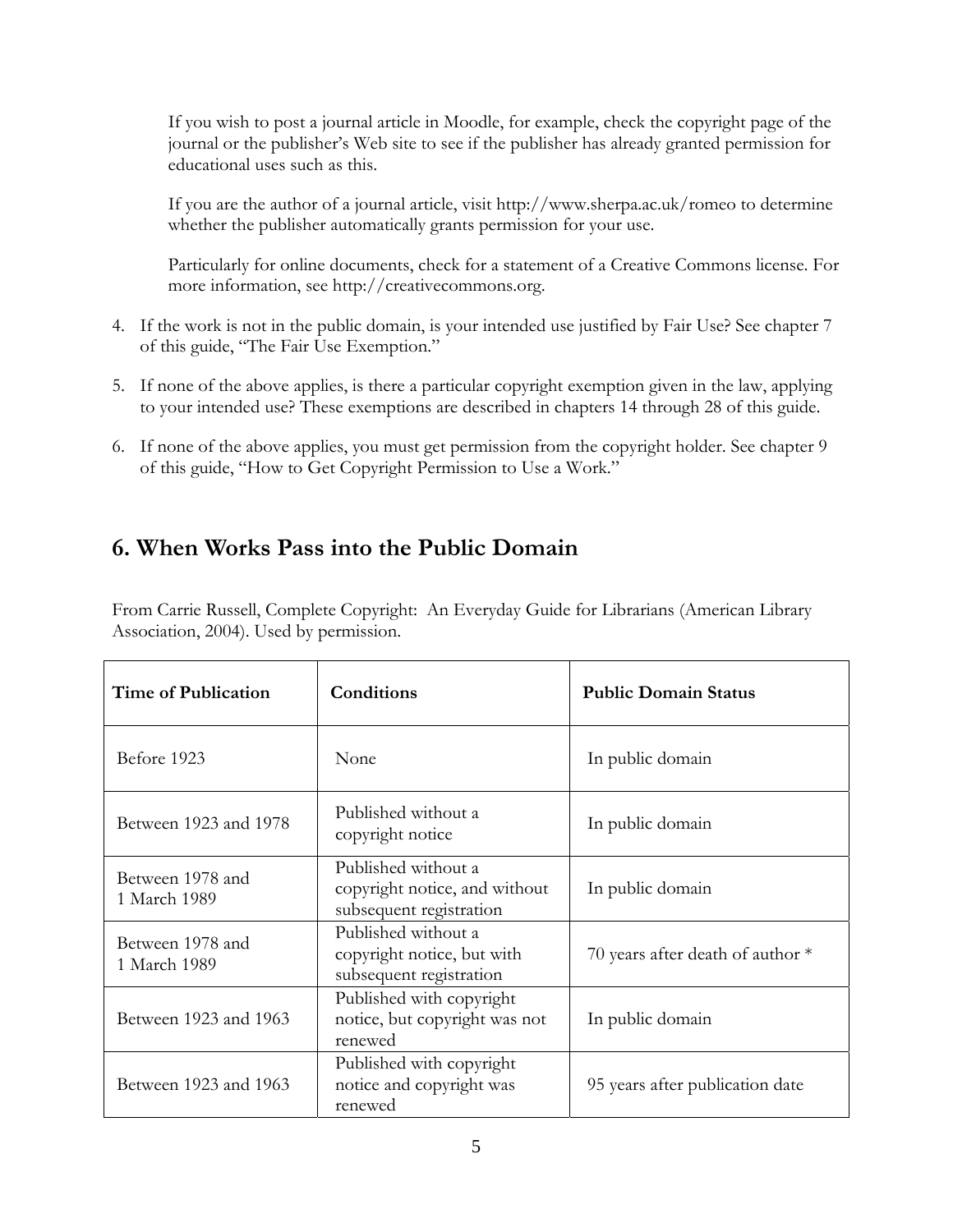If you wish to post a journal article in Moodle, for example, check the copyright page of the journal or the publisher's Web site to see if the publisher has already granted permission for educational uses such as this.

If you are the author of a journal article, visit http://www.sherpa.ac.uk/romeo to determine whether the publisher automatically grants permission for your use.

Particularly for online documents, check for a statement of a Creative Commons license. For more information, see http://creativecommons.org.

- 4. If the work is not in the public domain, is your intended use justified by Fair Use? See chapter 7 of this guide, "The Fair Use Exemption."
- 5. If none of the above applies, is there a particular copyright exemption given in the law, applying to your intended use? These exemptions are described in chapters 14 through 28 of this guide.
- 6. If none of the above applies, you must get permission from the copyright holder. See chapter 9 of this guide, "How to Get Copyright Permission to Use a Work."

## **6. When Works Pass into the Public Domain**

| <b>Time of Publication</b>       | <b>Conditions</b>                                                               | <b>Public Domain Status</b>        |  |  |
|----------------------------------|---------------------------------------------------------------------------------|------------------------------------|--|--|
| Before 1923                      | None                                                                            | In public domain                   |  |  |
| Between 1923 and 1978            | Published without a<br>copyright notice                                         | In public domain                   |  |  |
| Between 1978 and<br>1 March 1989 | Published without a<br>copyright notice, and without<br>subsequent registration | In public domain                   |  |  |
| Between 1978 and<br>1 March 1989 | Published without a<br>copyright notice, but with<br>subsequent registration    | 70 years after death of author $*$ |  |  |
| Between 1923 and 1963            | Published with copyright<br>notice, but copyright was not<br>renewed            | In public domain                   |  |  |
| Between 1923 and 1963            | Published with copyright<br>notice and copyright was<br>renewed                 | 95 years after publication date    |  |  |

From Carrie Russell, Complete Copyright: An Everyday Guide for Librarians (American Library Association, 2004). Used by permission.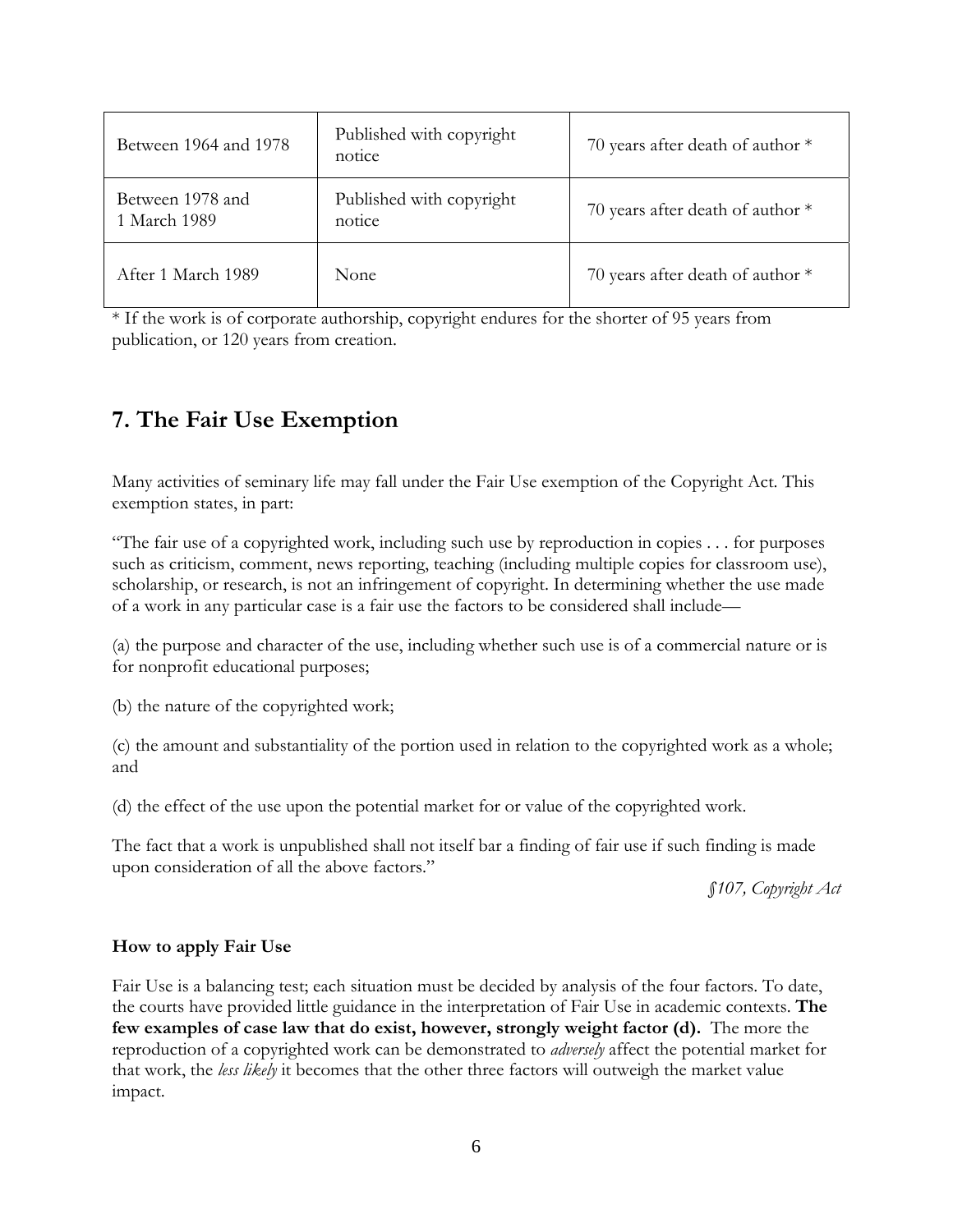| Between 1964 and 1978            | Published with copyright<br>notice | 70 years after death of author *   |
|----------------------------------|------------------------------------|------------------------------------|
| Between 1978 and<br>1 March 1989 | Published with copyright<br>notice | 70 years after death of author *   |
| After 1 March 1989               | <b>None</b>                        | 70 years after death of author $*$ |

\* If the work is of corporate authorship, copyright endures for the shorter of 95 years from publication, or 120 years from creation.

## **7. The Fair Use Exemption**

Many activities of seminary life may fall under the Fair Use exemption of the Copyright Act. This exemption states, in part:

"The fair use of a copyrighted work, including such use by reproduction in copies . . . for purposes such as criticism, comment, news reporting, teaching (including multiple copies for classroom use), scholarship, or research, is not an infringement of copyright. In determining whether the use made of a work in any particular case is a fair use the factors to be considered shall include—

(a) the purpose and character of the use, including whether such use is of a commercial nature or is for nonprofit educational purposes;

(b) the nature of the copyrighted work;

(c) the amount and substantiality of the portion used in relation to the copyrighted work as a whole; and

(d) the effect of the use upon the potential market for or value of the copyrighted work.

The fact that a work is unpublished shall not itself bar a finding of fair use if such finding is made upon consideration of all the above factors."

*§107, Copyright Act* 

### **How to apply Fair Use**

Fair Use is a balancing test; each situation must be decided by analysis of the four factors. To date, the courts have provided little guidance in the interpretation of Fair Use in academic contexts. **The few examples of case law that do exist, however, strongly weight factor (d).** The more the reproduction of a copyrighted work can be demonstrated to *adversely* affect the potential market for that work, the *less likely* it becomes that the other three factors will outweigh the market value impact.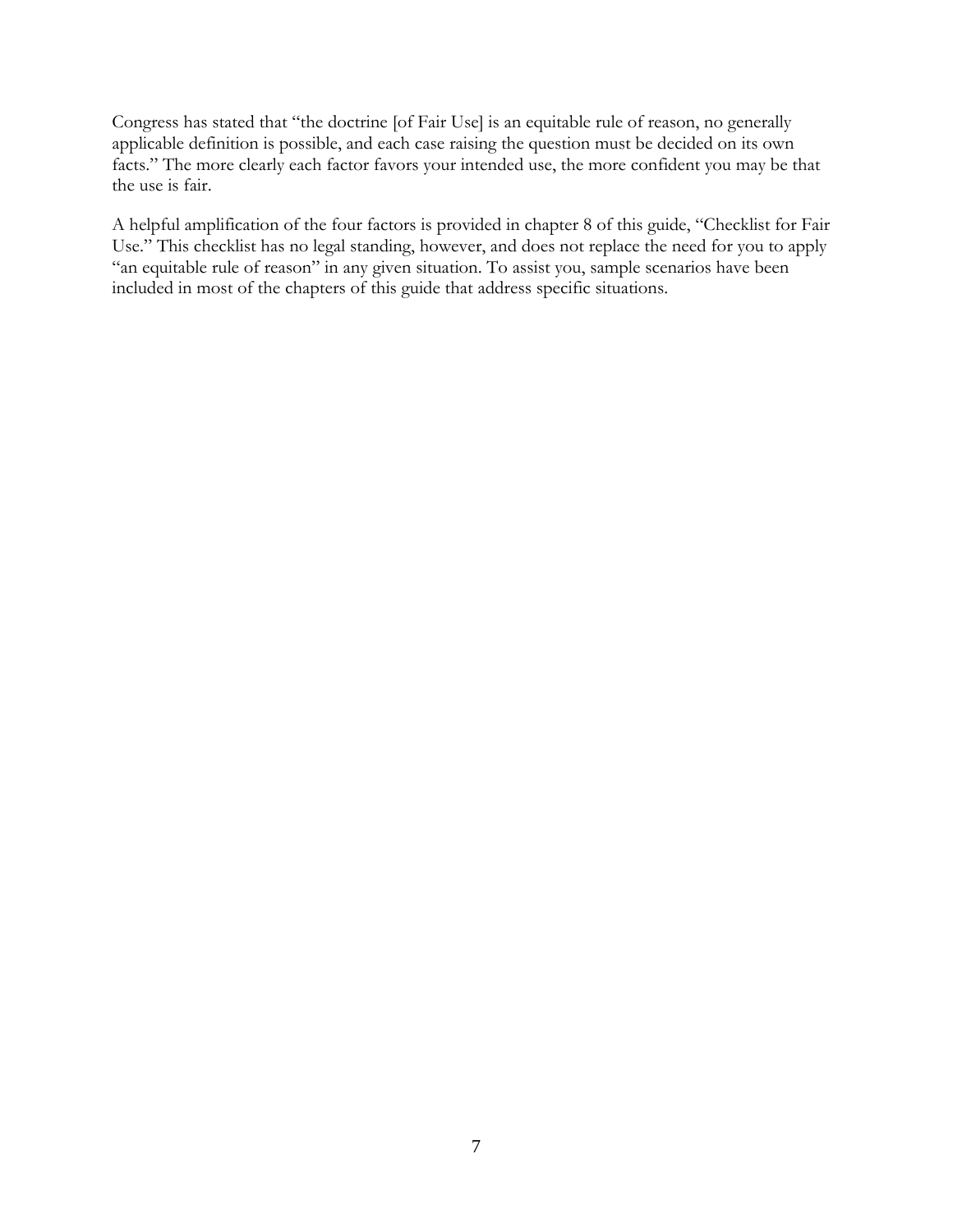Congress has stated that "the doctrine [of Fair Use] is an equitable rule of reason, no generally applicable definition is possible, and each case raising the question must be decided on its own facts." The more clearly each factor favors your intended use, the more confident you may be that the use is fair.

A helpful amplification of the four factors is provided in chapter 8 of this guide, "Checklist for Fair Use." This checklist has no legal standing, however, and does not replace the need for you to apply "an equitable rule of reason" in any given situation. To assist you, sample scenarios have been included in most of the chapters of this guide that address specific situations.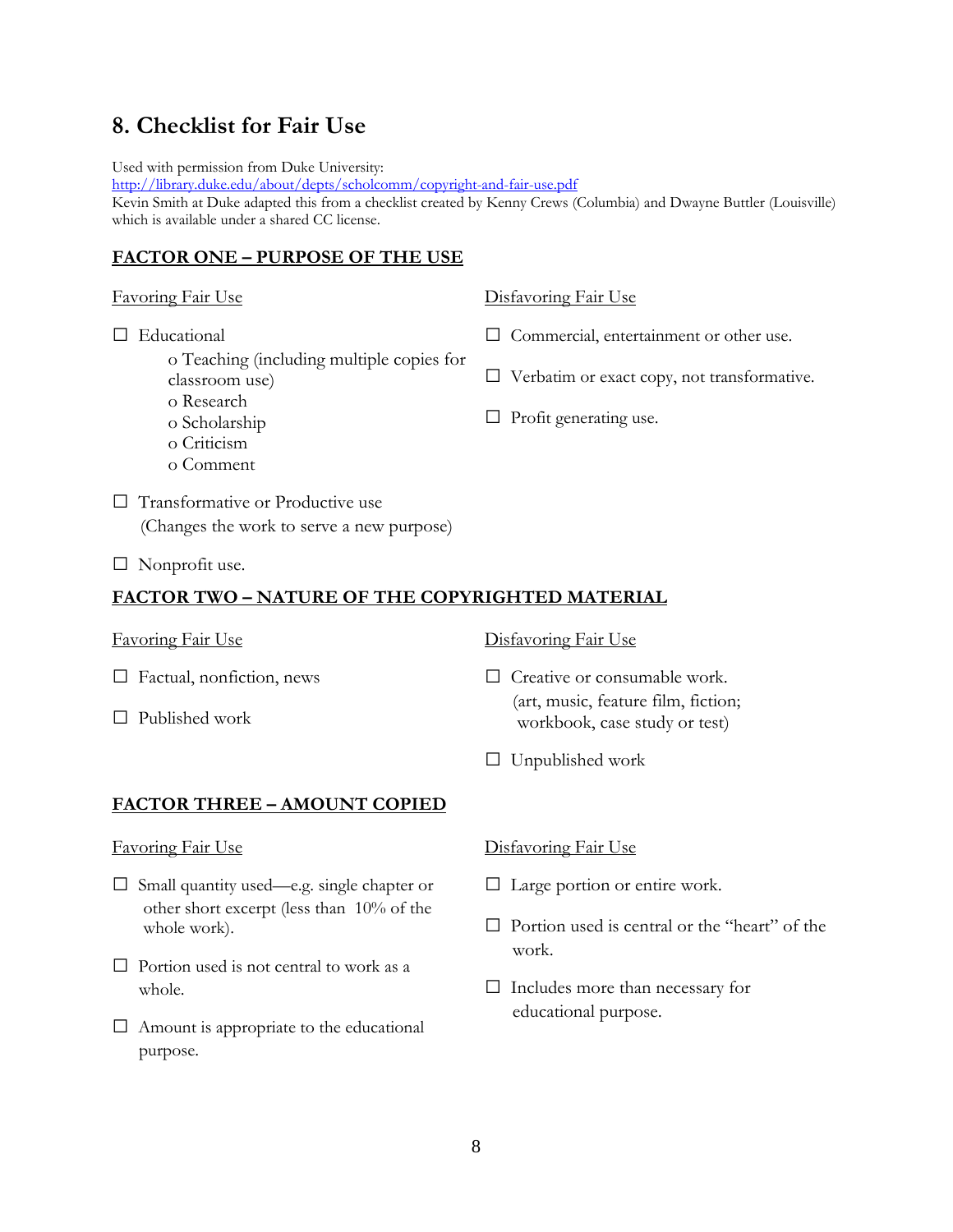### **8. Checklist for Fair Use**

Used with permission from Duke University:

http://library.duke.edu/about/depts/scholcomm/copyright-and-fair-use.pdf

Kevin Smith at Duke adapted this from a checklist created by Kenny Crews (Columbia) and Dwayne Buttler (Louisville) which is available under a shared CC license.

### **FACTOR ONE – PURPOSE OF THE USE**

#### Favoring Fair Use

□ Educational

o Teaching (including multiple copies for classroom use) o Research

- o Scholarship
- o Criticism
- o Comment

### Disfavoring Fair Use

□ Commercial, entertainment or other use.

- □ Verbatim or exact copy, not transformative.
- $\Box$  Profit generating use.
- □ Transformative or Productive use (Changes the work to serve a new purpose)
- $\Box$  Nonprofit use.

### **FACTOR TWO – NATURE OF THE COPYRIGHTED MATERIAL**

- Favoring Fair Use
- □ Factual, nonfiction, news
- $\Box$  Published work

#### Disfavoring Fair Use

- $\Box$  Creative or consumable work. (art, music, feature film, fiction; workbook, case study or test)
- $\Box$  Unpublished work

### **FACTOR THREE – AMOUNT COPIED**

#### Favoring Fair Use

- □ Small quantity used—e.g. single chapter or other short excerpt (less than 10% of the whole work).
- $\Box$  Portion used is not central to work as a whole.
- $\Box$  Amount is appropriate to the educational purpose.

### Disfavoring Fair Use

- $\Box$  Large portion or entire work.
- $\Box$  Portion used is central or the "heart" of the work.
- $\Box$  Includes more than necessary for educational purpose.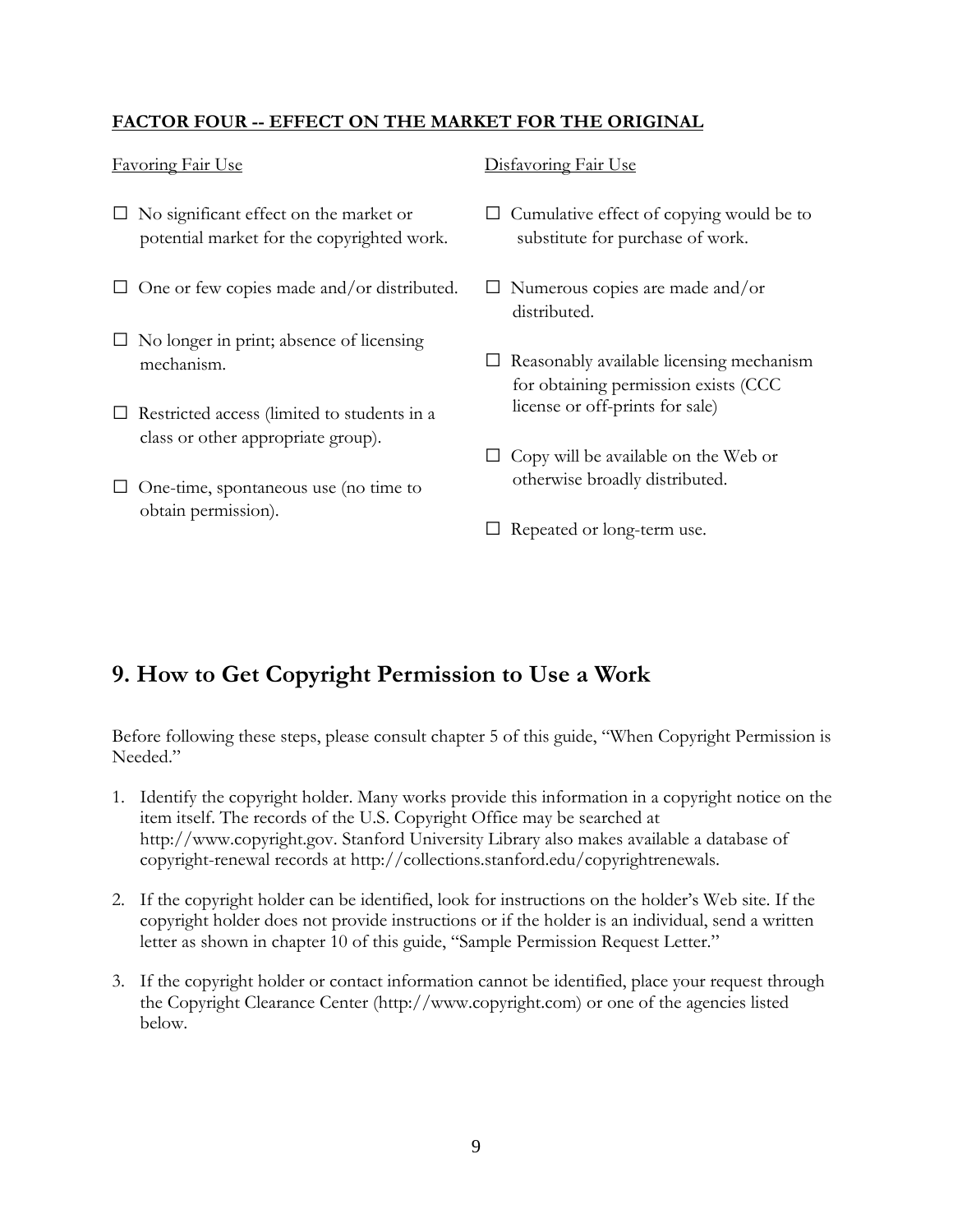### **FACTOR FOUR -- EFFECT ON THE MARKET FOR THE ORIGINAL**

#### Favoring Fair Use

- $\square$  No significant effect on the market or potential market for the copyrighted work.
- $\Box$  One or few copies made and/or distributed.
- $\square$  No longer in print; absence of licensing mechanism.
- $\square$  Restricted access (limited to students in a class or other appropriate group).
- $\Box$  One-time, spontaneous use (no time to obtain permission).

### Disfavoring Fair Use

- $\Box$  Cumulative effect of copying would be to substitute for purchase of work.
- $\square$  Numerous copies are made and/or distributed.
- $\Box$  Reasonably available licensing mechanism for obtaining permission exists (CCC license or off-prints for sale)
- $\Box$  Copy will be available on the Web or otherwise broadly distributed.
- □ Repeated or long-term use.

# **9. How to Get Copyright Permission to Use a Work**

Before following these steps, please consult chapter 5 of this guide, "When Copyright Permission is Needed."

- 1. Identify the copyright holder. Many works provide this information in a copyright notice on the item itself. The records of the U.S. Copyright Office may be searched at http://www.copyright.gov. Stanford University Library also makes available a database of copyright-renewal records at http://collections.stanford.edu/copyrightrenewals.
- 2. If the copyright holder can be identified, look for instructions on the holder's Web site. If the copyright holder does not provide instructions or if the holder is an individual, send a written letter as shown in chapter 10 of this guide, "Sample Permission Request Letter."
- 3. If the copyright holder or contact information cannot be identified, place your request through the Copyright Clearance Center (http://www.copyright.com) or one of the agencies listed below.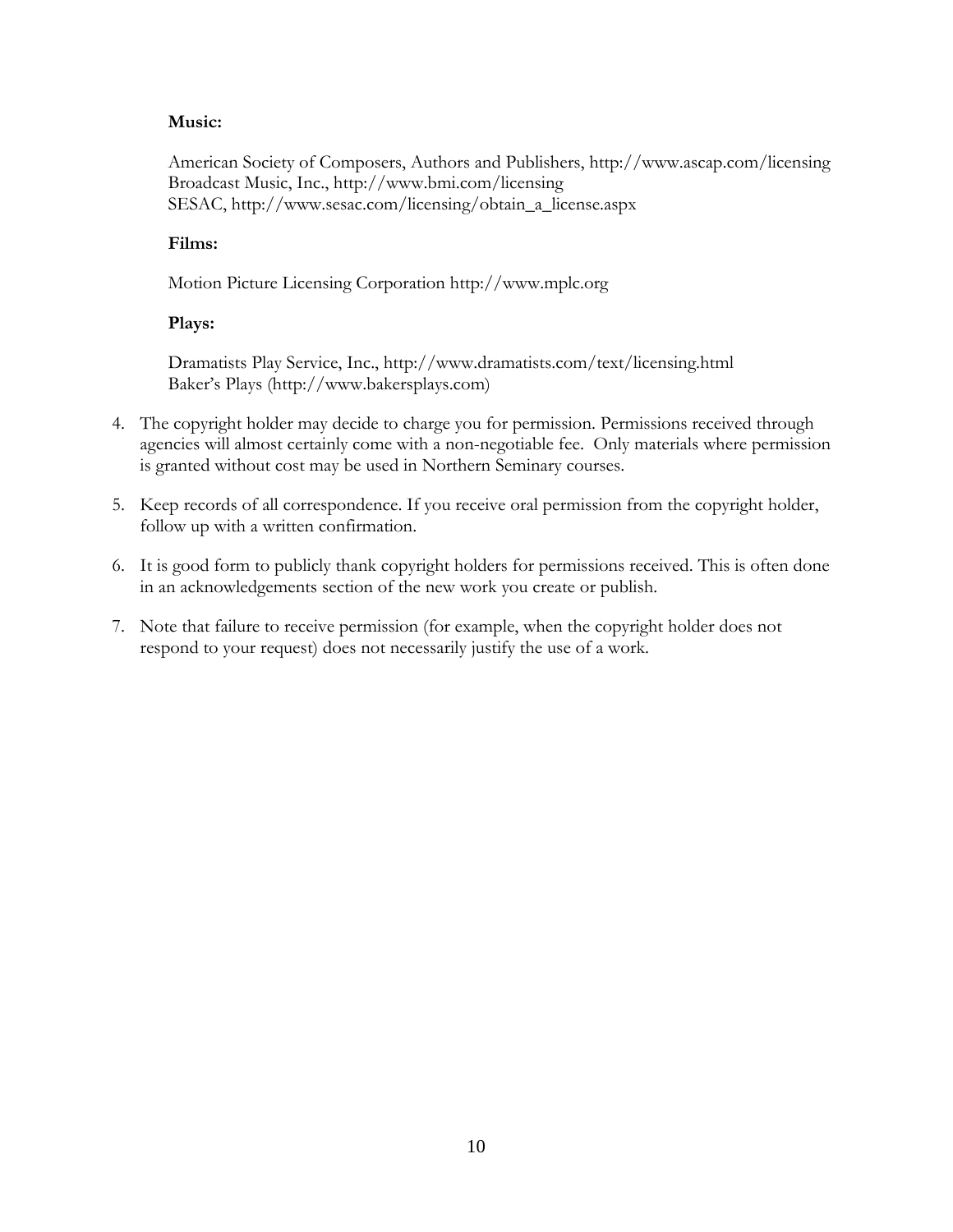### **Music:**

American Society of Composers, Authors and Publishers, http://www.ascap.com/licensing Broadcast Music, Inc., http://www.bmi.com/licensing SESAC, http://www.sesac.com/licensing/obtain\_a\_license.aspx

### **Films:**

Motion Picture Licensing Corporation http://www.mplc.org

#### **Plays:**

Dramatists Play Service, Inc., http://www.dramatists.com/text/licensing.html Baker's Plays (http://www.bakersplays.com)

- 4. The copyright holder may decide to charge you for permission. Permissions received through agencies will almost certainly come with a non-negotiable fee. Only materials where permission is granted without cost may be used in Northern Seminary courses.
- 5. Keep records of all correspondence. If you receive oral permission from the copyright holder, follow up with a written confirmation.
- 6. It is good form to publicly thank copyright holders for permissions received. This is often done in an acknowledgements section of the new work you create or publish.
- 7. Note that failure to receive permission (for example, when the copyright holder does not respond to your request) does not necessarily justify the use of a work.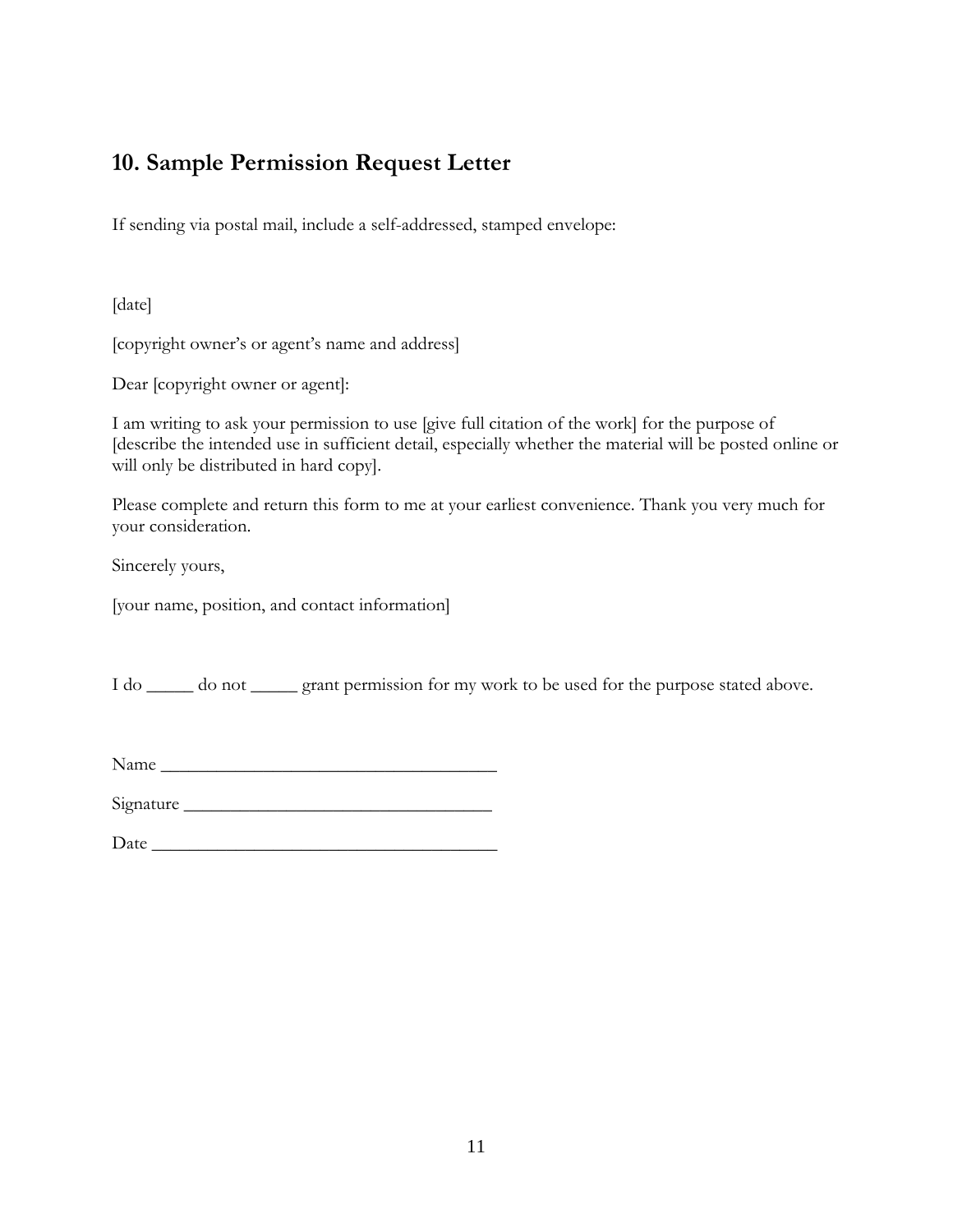### **10. Sample Permission Request Letter**

If sending via postal mail, include a self-addressed, stamped envelope:

[date]

[copyright owner's or agent's name and address]

Dear [copyright owner or agent]:

I am writing to ask your permission to use [give full citation of the work] for the purpose of [describe the intended use in sufficient detail, especially whether the material will be posted online or will only be distributed in hard copy].

Please complete and return this form to me at your earliest convenience. Thank you very much for your consideration.

Sincerely yours,

[your name, position, and contact information]

I do \_\_\_\_\_\_ do not \_\_\_\_\_\_ grant permission for my work to be used for the purpose stated above.

Name \_\_\_\_\_\_\_\_\_\_\_\_\_\_\_\_\_\_\_\_\_\_\_\_\_\_\_\_\_\_\_\_\_\_\_\_

Signature \_\_\_\_\_\_\_\_\_\_\_\_\_\_\_\_\_\_\_\_\_\_\_\_\_\_\_\_\_\_\_\_\_

Date \_\_\_\_\_\_\_\_\_\_\_\_\_\_\_\_\_\_\_\_\_\_\_\_\_\_\_\_\_\_\_\_\_\_\_\_\_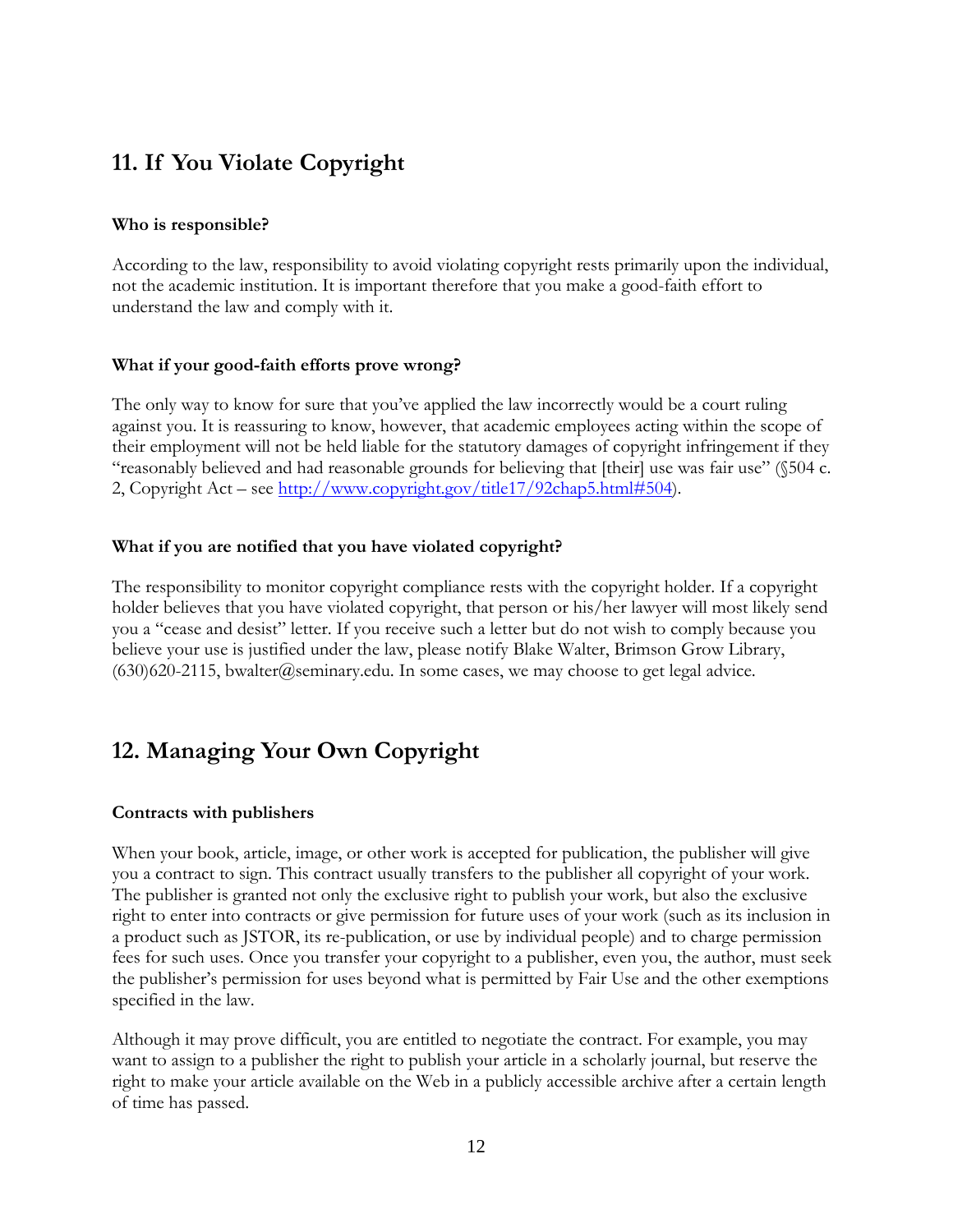### **11. If You Violate Copyright**

### **Who is responsible?**

According to the law, responsibility to avoid violating copyright rests primarily upon the individual, not the academic institution. It is important therefore that you make a good-faith effort to understand the law and comply with it.

### **What if your good-faith efforts prove wrong?**

The only way to know for sure that you've applied the law incorrectly would be a court ruling against you. It is reassuring to know, however, that academic employees acting within the scope of their employment will not be held liable for the statutory damages of copyright infringement if they "reasonably believed and had reasonable grounds for believing that [their] use was fair use" (§504 c. 2, Copyright Act – see http://www.copyright.gov/title17/92chap5.html#504).

### **What if you are notified that you have violated copyright?**

The responsibility to monitor copyright compliance rests with the copyright holder. If a copyright holder believes that you have violated copyright, that person or his/her lawyer will most likely send you a "cease and desist" letter. If you receive such a letter but do not wish to comply because you believe your use is justified under the law, please notify Blake Walter, Brimson Grow Library, (630)620-2115, bwalter@seminary.edu. In some cases, we may choose to get legal advice.

# **12. Managing Your Own Copyright**

### **Contracts with publishers**

When your book, article, image, or other work is accepted for publication, the publisher will give you a contract to sign. This contract usually transfers to the publisher all copyright of your work. The publisher is granted not only the exclusive right to publish your work, but also the exclusive right to enter into contracts or give permission for future uses of your work (such as its inclusion in a product such as JSTOR, its re-publication, or use by individual people) and to charge permission fees for such uses. Once you transfer your copyright to a publisher, even you, the author, must seek the publisher's permission for uses beyond what is permitted by Fair Use and the other exemptions specified in the law.

Although it may prove difficult, you are entitled to negotiate the contract. For example, you may want to assign to a publisher the right to publish your article in a scholarly journal, but reserve the right to make your article available on the Web in a publicly accessible archive after a certain length of time has passed.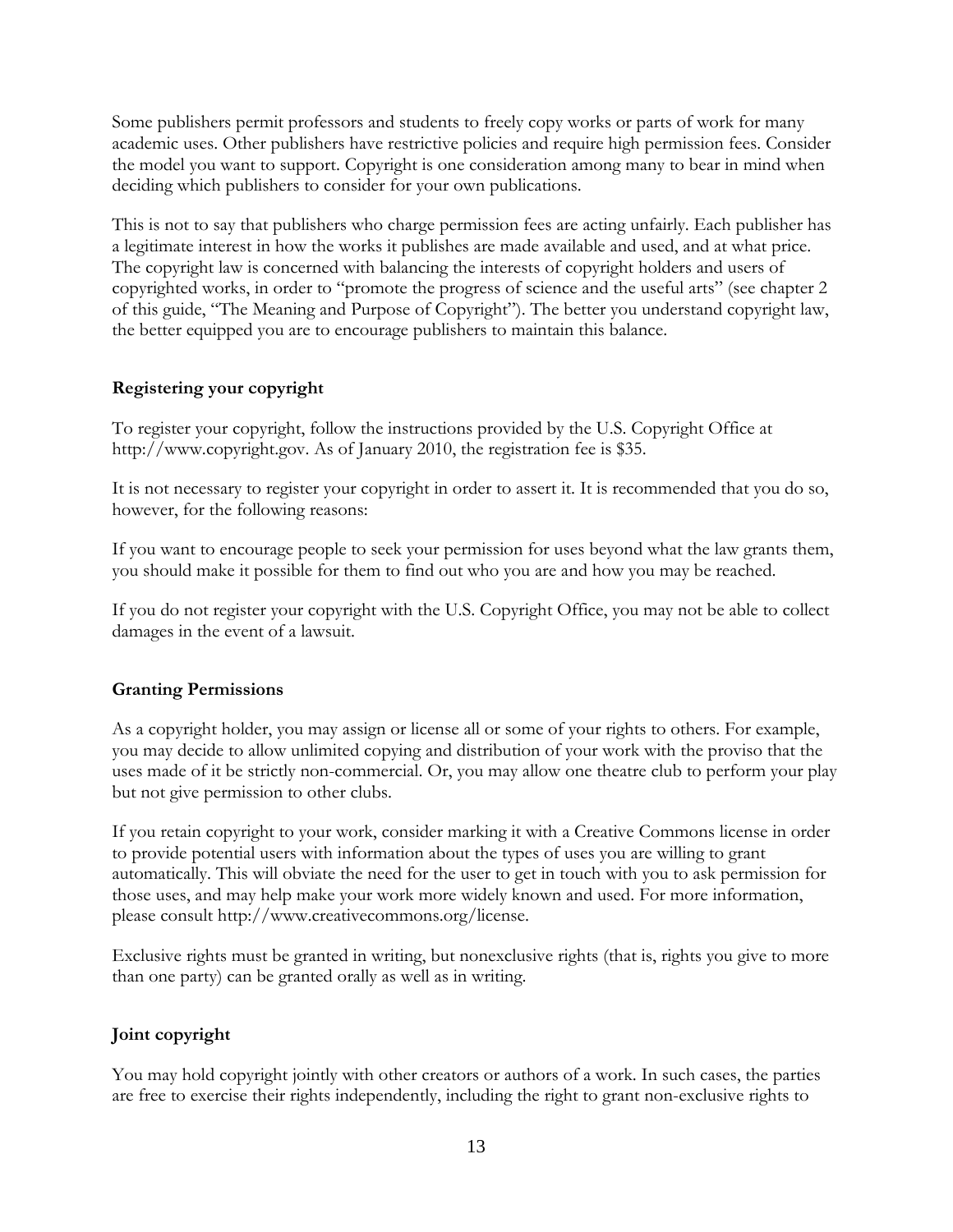Some publishers permit professors and students to freely copy works or parts of work for many academic uses. Other publishers have restrictive policies and require high permission fees. Consider the model you want to support. Copyright is one consideration among many to bear in mind when deciding which publishers to consider for your own publications.

This is not to say that publishers who charge permission fees are acting unfairly. Each publisher has a legitimate interest in how the works it publishes are made available and used, and at what price. The copyright law is concerned with balancing the interests of copyright holders and users of copyrighted works, in order to "promote the progress of science and the useful arts" (see chapter 2 of this guide, "The Meaning and Purpose of Copyright"). The better you understand copyright law, the better equipped you are to encourage publishers to maintain this balance.

### **Registering your copyright**

To register your copyright, follow the instructions provided by the U.S. Copyright Office at http://www.copyright.gov. As of January 2010, the registration fee is \$35.

It is not necessary to register your copyright in order to assert it. It is recommended that you do so, however, for the following reasons:

If you want to encourage people to seek your permission for uses beyond what the law grants them, you should make it possible for them to find out who you are and how you may be reached.

If you do not register your copyright with the U.S. Copyright Office, you may not be able to collect damages in the event of a lawsuit.

### **Granting Permissions**

As a copyright holder, you may assign or license all or some of your rights to others. For example, you may decide to allow unlimited copying and distribution of your work with the proviso that the uses made of it be strictly non-commercial. Or, you may allow one theatre club to perform your play but not give permission to other clubs.

If you retain copyright to your work, consider marking it with a Creative Commons license in order to provide potential users with information about the types of uses you are willing to grant automatically. This will obviate the need for the user to get in touch with you to ask permission for those uses, and may help make your work more widely known and used. For more information, please consult http://www.creativecommons.org/license.

Exclusive rights must be granted in writing, but nonexclusive rights (that is, rights you give to more than one party) can be granted orally as well as in writing.

### **Joint copyright**

You may hold copyright jointly with other creators or authors of a work. In such cases, the parties are free to exercise their rights independently, including the right to grant non-exclusive rights to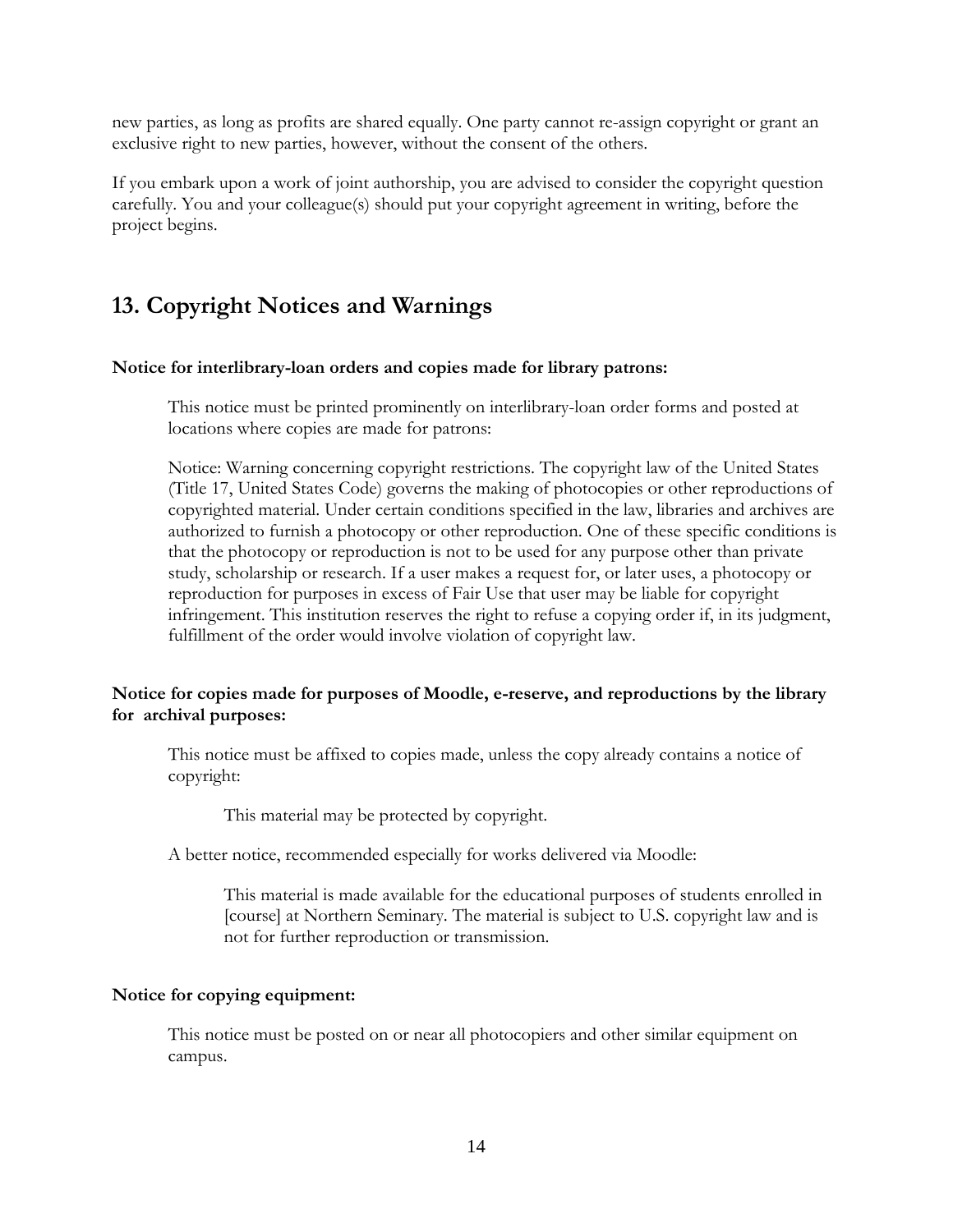new parties, as long as profits are shared equally. One party cannot re-assign copyright or grant an exclusive right to new parties, however, without the consent of the others.

If you embark upon a work of joint authorship, you are advised to consider the copyright question carefully. You and your colleague(s) should put your copyright agreement in writing, before the project begins.

## **13. Copyright Notices and Warnings**

#### **Notice for interlibrary-loan orders and copies made for library patrons:**

This notice must be printed prominently on interlibrary-loan order forms and posted at locations where copies are made for patrons:

Notice: Warning concerning copyright restrictions. The copyright law of the United States (Title 17, United States Code) governs the making of photocopies or other reproductions of copyrighted material. Under certain conditions specified in the law, libraries and archives are authorized to furnish a photocopy or other reproduction. One of these specific conditions is that the photocopy or reproduction is not to be used for any purpose other than private study, scholarship or research. If a user makes a request for, or later uses, a photocopy or reproduction for purposes in excess of Fair Use that user may be liable for copyright infringement. This institution reserves the right to refuse a copying order if, in its judgment, fulfillment of the order would involve violation of copyright law.

### **Notice for copies made for purposes of Moodle, e-reserve, and reproductions by the library for archival purposes:**

This notice must be affixed to copies made, unless the copy already contains a notice of copyright:

This material may be protected by copyright.

A better notice, recommended especially for works delivered via Moodle:

This material is made available for the educational purposes of students enrolled in [course] at Northern Seminary. The material is subject to U.S. copyright law and is not for further reproduction or transmission.

### **Notice for copying equipment:**

This notice must be posted on or near all photocopiers and other similar equipment on campus.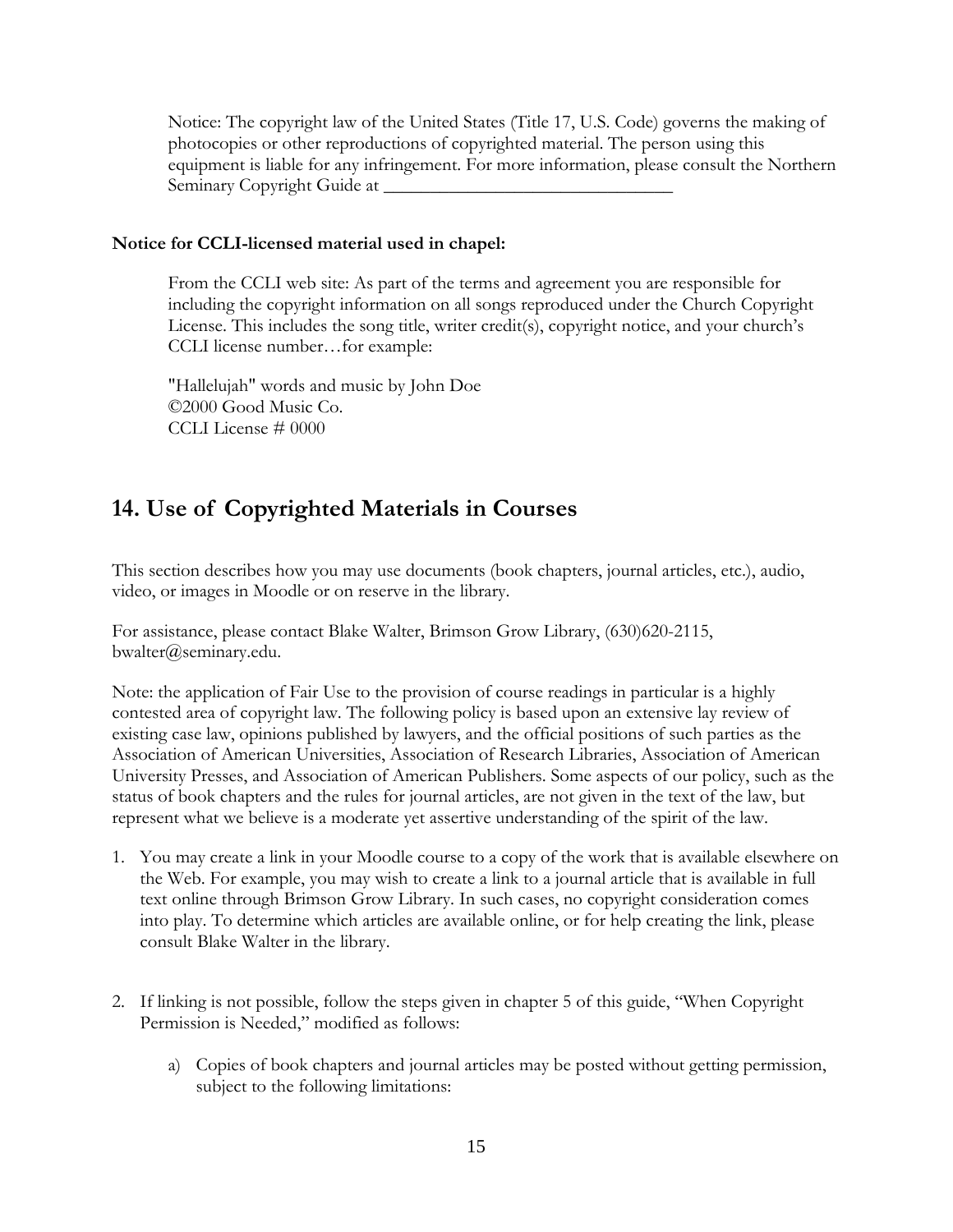Notice: The copyright law of the United States (Title 17, U.S. Code) governs the making of photocopies or other reproductions of copyrighted material. The person using this equipment is liable for any infringement. For more information, please consult the Northern Seminary Copyright Guide at \_\_\_\_\_\_\_\_\_\_\_\_\_\_\_\_\_\_\_\_\_\_\_\_\_\_\_\_\_\_\_

#### **Notice for CCLI-licensed material used in chapel:**

From the CCLI web site: As part of the terms and agreement you are responsible for including the copyright information on all songs reproduced under the Church Copyright License. This includes the song title, writer credit(s), copyright notice, and your church's CCLI license number…for example:

"Hallelujah" words and music by John Doe ©2000 Good Music Co. CCLI License # 0000

## **14. Use of Copyrighted Materials in Courses**

This section describes how you may use documents (book chapters, journal articles, etc.), audio, video, or images in Moodle or on reserve in the library.

For assistance, please contact Blake Walter, Brimson Grow Library, (630)620-2115, bwalter@seminary.edu.

Note: the application of Fair Use to the provision of course readings in particular is a highly contested area of copyright law. The following policy is based upon an extensive lay review of existing case law, opinions published by lawyers, and the official positions of such parties as the Association of American Universities, Association of Research Libraries, Association of American University Presses, and Association of American Publishers. Some aspects of our policy, such as the status of book chapters and the rules for journal articles, are not given in the text of the law, but represent what we believe is a moderate yet assertive understanding of the spirit of the law.

- 1. You may create a link in your Moodle course to a copy of the work that is available elsewhere on the Web. For example, you may wish to create a link to a journal article that is available in full text online through Brimson Grow Library. In such cases, no copyright consideration comes into play. To determine which articles are available online, or for help creating the link, please consult Blake Walter in the library.
- 2. If linking is not possible, follow the steps given in chapter 5 of this guide, "When Copyright Permission is Needed," modified as follows:
	- a) Copies of book chapters and journal articles may be posted without getting permission, subject to the following limitations: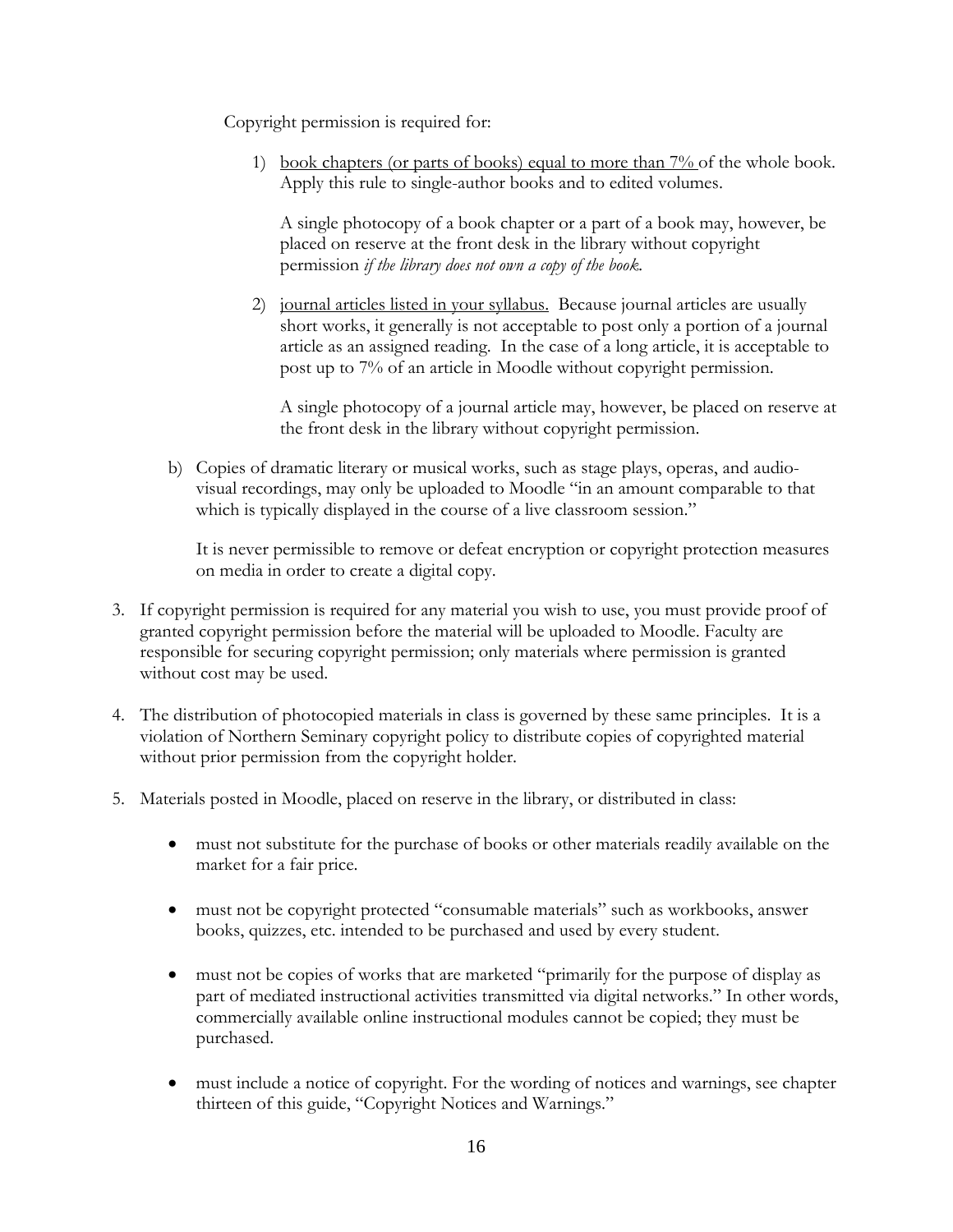Copyright permission is required for:

1) book chapters (or parts of books) equal to more than  $7\%$  of the whole book. Apply this rule to single-author books and to edited volumes.

A single photocopy of a book chapter or a part of a book may, however, be placed on reserve at the front desk in the library without copyright permission *if the library does not own a copy of the book.*

2) journal articles listed in your syllabus. Because journal articles are usually short works, it generally is not acceptable to post only a portion of a journal article as an assigned reading. In the case of a long article, it is acceptable to post up to 7% of an article in Moodle without copyright permission.

A single photocopy of a journal article may, however, be placed on reserve at the front desk in the library without copyright permission.

b) Copies of dramatic literary or musical works, such as stage plays, operas, and audiovisual recordings, may only be uploaded to Moodle "in an amount comparable to that which is typically displayed in the course of a live classroom session."

It is never permissible to remove or defeat encryption or copyright protection measures on media in order to create a digital copy.

- 3. If copyright permission is required for any material you wish to use, you must provide proof of granted copyright permission before the material will be uploaded to Moodle. Faculty are responsible for securing copyright permission; only materials where permission is granted without cost may be used.
- 4. The distribution of photocopied materials in class is governed by these same principles. It is a violation of Northern Seminary copyright policy to distribute copies of copyrighted material without prior permission from the copyright holder.
- 5. Materials posted in Moodle, placed on reserve in the library, or distributed in class:
	- must not substitute for the purchase of books or other materials readily available on the market for a fair price.
	- must not be copyright protected "consumable materials" such as workbooks, answer books, quizzes, etc. intended to be purchased and used by every student.
	- must not be copies of works that are marketed "primarily for the purpose of display as part of mediated instructional activities transmitted via digital networks." In other words, commercially available online instructional modules cannot be copied; they must be purchased.
	- must include a notice of copyright. For the wording of notices and warnings, see chapter thirteen of this guide, "Copyright Notices and Warnings."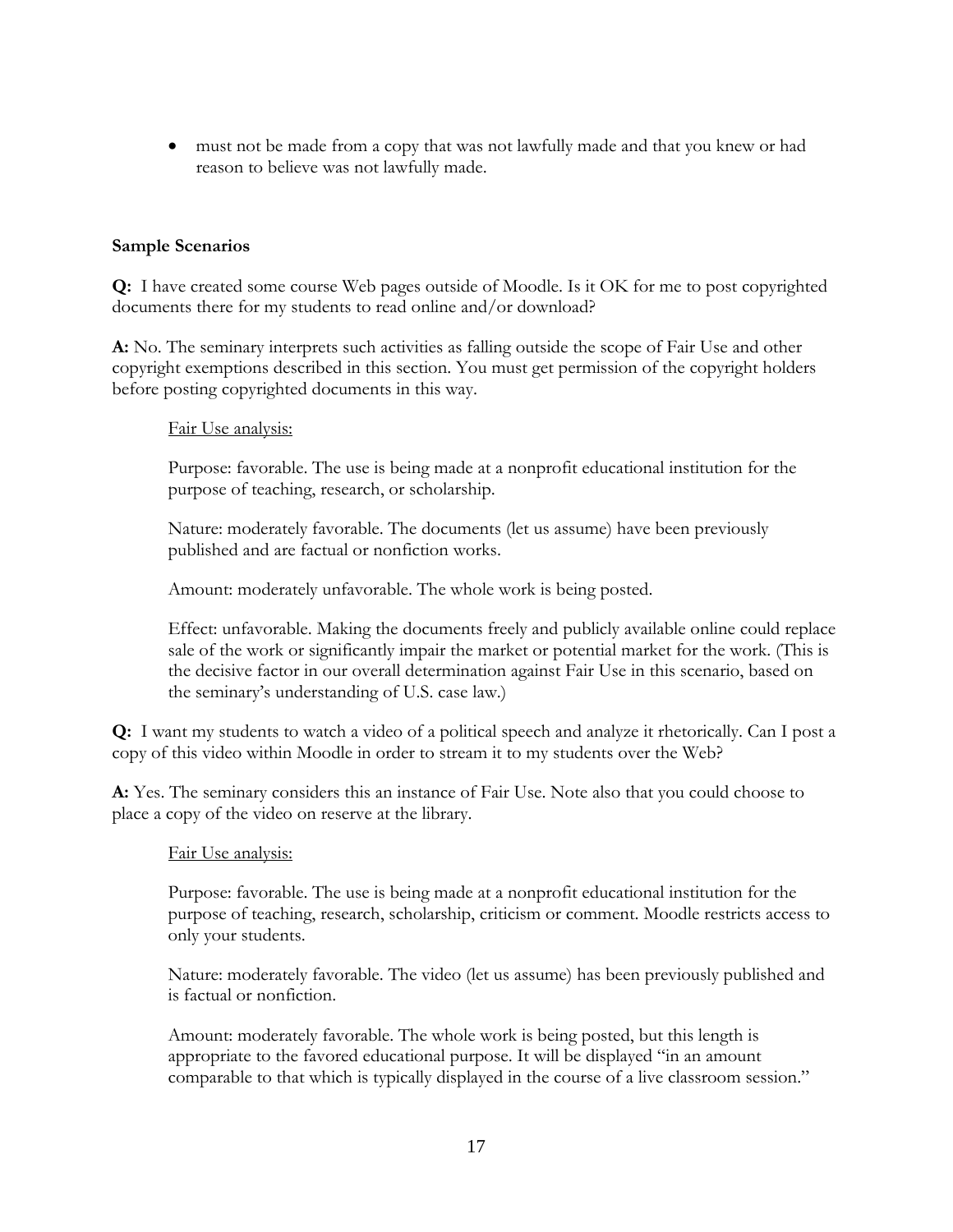must not be made from a copy that was not lawfully made and that you knew or had reason to believe was not lawfully made.

#### **Sample Scenarios**

**Q:** I have created some course Web pages outside of Moodle. Is it OK for me to post copyrighted documents there for my students to read online and/or download?

**A:** No. The seminary interprets such activities as falling outside the scope of Fair Use and other copyright exemptions described in this section. You must get permission of the copyright holders before posting copyrighted documents in this way.

#### Fair Use analysis:

Purpose: favorable. The use is being made at a nonprofit educational institution for the purpose of teaching, research, or scholarship.

Nature: moderately favorable. The documents (let us assume) have been previously published and are factual or nonfiction works.

Amount: moderately unfavorable. The whole work is being posted.

Effect: unfavorable. Making the documents freely and publicly available online could replace sale of the work or significantly impair the market or potential market for the work. (This is the decisive factor in our overall determination against Fair Use in this scenario, based on the seminary's understanding of U.S. case law.)

**Q:** I want my students to watch a video of a political speech and analyze it rhetorically. Can I post a copy of this video within Moodle in order to stream it to my students over the Web?

**A:** Yes. The seminary considers this an instance of Fair Use. Note also that you could choose to place a copy of the video on reserve at the library.

#### Fair Use analysis:

Purpose: favorable. The use is being made at a nonprofit educational institution for the purpose of teaching, research, scholarship, criticism or comment. Moodle restricts access to only your students.

Nature: moderately favorable. The video (let us assume) has been previously published and is factual or nonfiction.

Amount: moderately favorable. The whole work is being posted, but this length is appropriate to the favored educational purpose. It will be displayed "in an amount comparable to that which is typically displayed in the course of a live classroom session."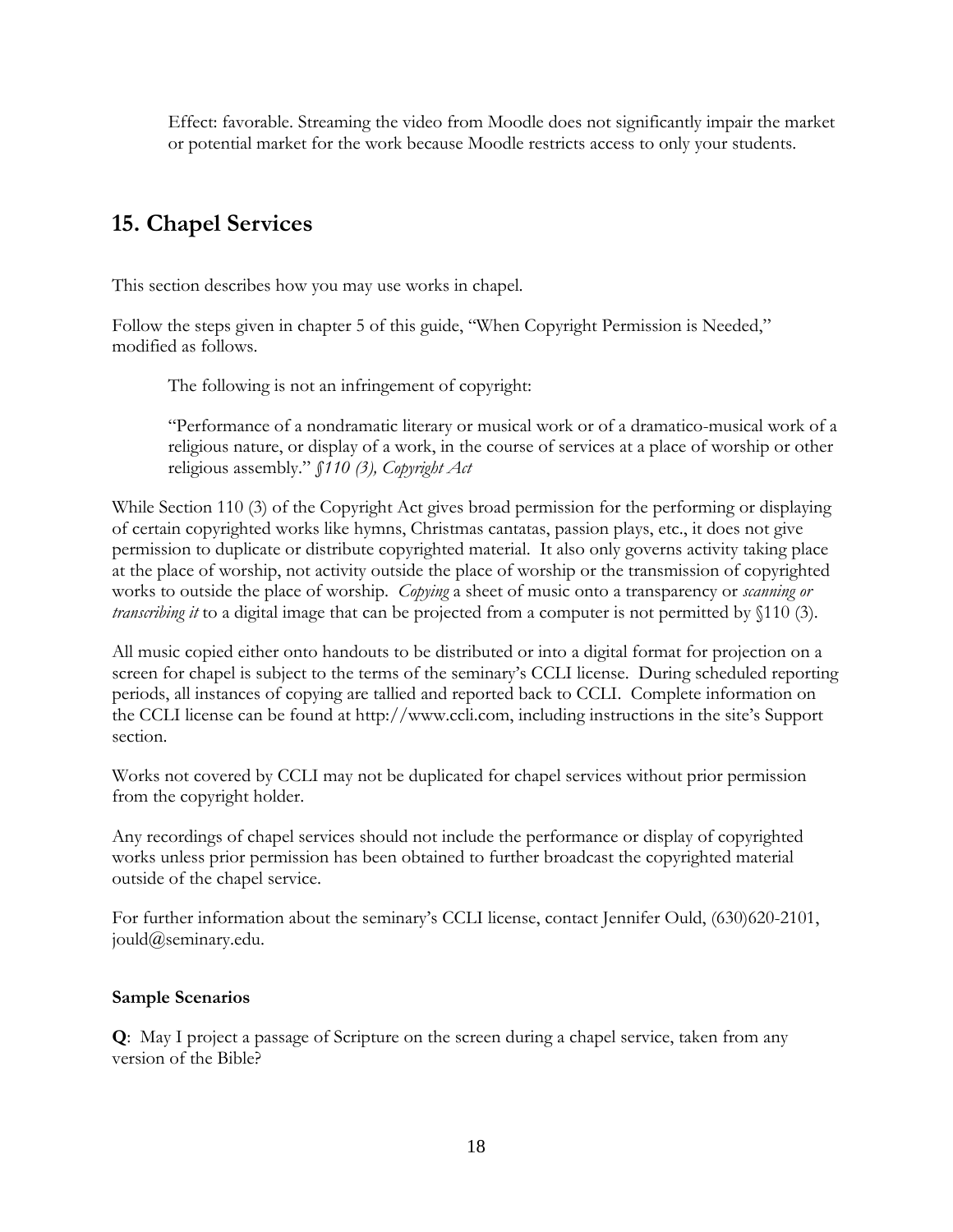Effect: favorable. Streaming the video from Moodle does not significantly impair the market or potential market for the work because Moodle restricts access to only your students.

### **15. Chapel Services**

This section describes how you may use works in chapel.

Follow the steps given in chapter 5 of this guide, "When Copyright Permission is Needed," modified as follows.

The following is not an infringement of copyright:

"Performance of a nondramatic literary or musical work or of a dramatico-musical work of a religious nature, or display of a work, in the course of services at a place of worship or other religious assembly." *§110 (3), Copyright Act* 

While Section 110 (3) of the Copyright Act gives broad permission for the performing or displaying of certain copyrighted works like hymns, Christmas cantatas, passion plays, etc., it does not give permission to duplicate or distribute copyrighted material. It also only governs activity taking place at the place of worship, not activity outside the place of worship or the transmission of copyrighted works to outside the place of worship. *Copying* a sheet of music onto a transparency or *scanning or transcribing it* to a digital image that can be projected from a computer is not permitted by \$110 (3).

All music copied either onto handouts to be distributed or into a digital format for projection on a screen for chapel is subject to the terms of the seminary's CCLI license. During scheduled reporting periods, all instances of copying are tallied and reported back to CCLI. Complete information on the CCLI license can be found at http://www.ccli.com, including instructions in the site's Support section.

Works not covered by CCLI may not be duplicated for chapel services without prior permission from the copyright holder.

Any recordings of chapel services should not include the performance or display of copyrighted works unless prior permission has been obtained to further broadcast the copyrighted material outside of the chapel service.

For further information about the seminary's CCLI license, contact Jennifer Ould, (630)620-2101, jould@seminary.edu.

### **Sample Scenarios**

**Q**: May I project a passage of Scripture on the screen during a chapel service, taken from any version of the Bible?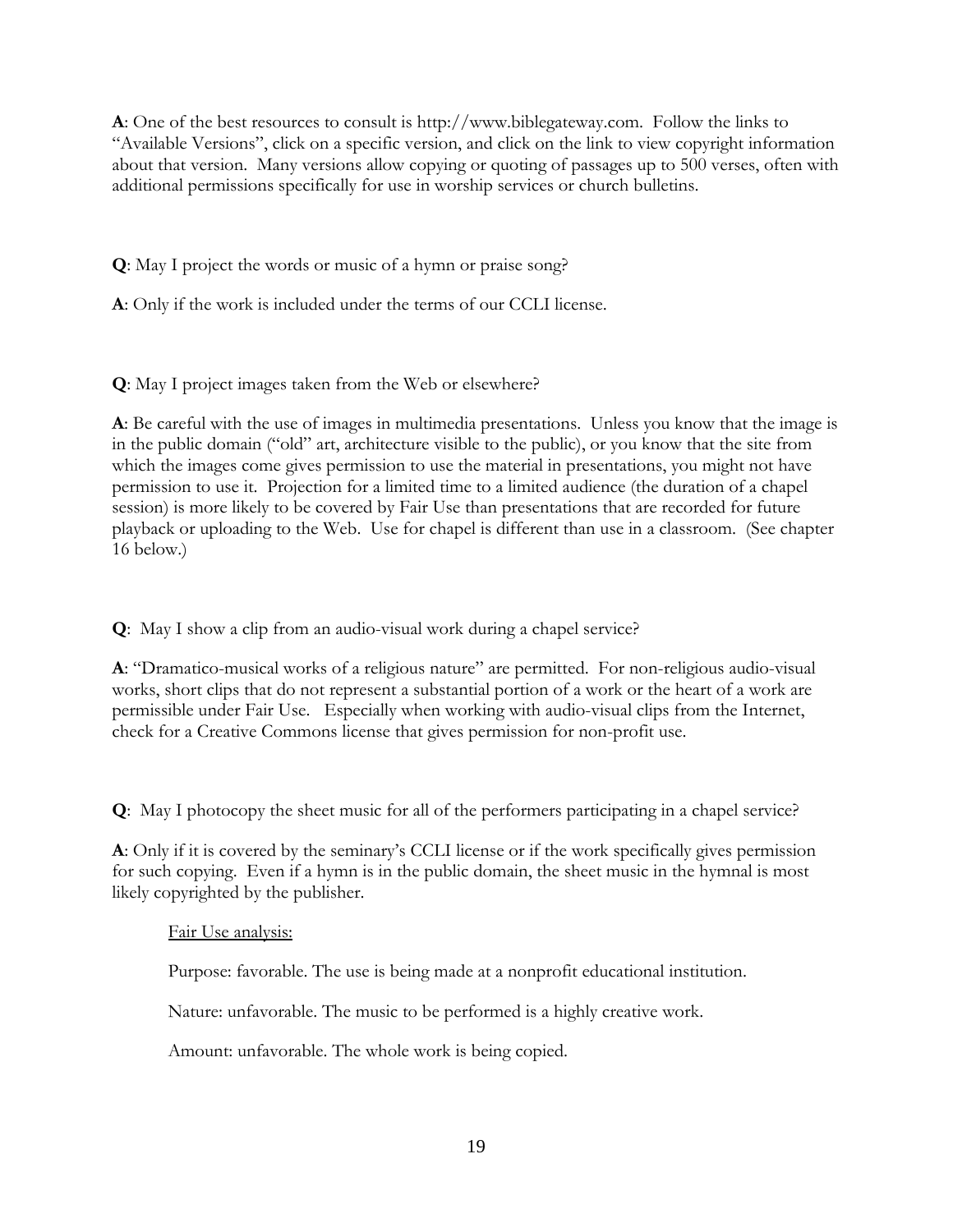**A**: One of the best resources to consult is http://www.biblegateway.com. Follow the links to "Available Versions", click on a specific version, and click on the link to view copyright information about that version. Many versions allow copying or quoting of passages up to 500 verses, often with additional permissions specifically for use in worship services or church bulletins.

**Q**: May I project the words or music of a hymn or praise song?

**A**: Only if the work is included under the terms of our CCLI license.

**Q**: May I project images taken from the Web or elsewhere?

**A**: Be careful with the use of images in multimedia presentations. Unless you know that the image is in the public domain ("old" art, architecture visible to the public), or you know that the site from which the images come gives permission to use the material in presentations, you might not have permission to use it. Projection for a limited time to a limited audience (the duration of a chapel session) is more likely to be covered by Fair Use than presentations that are recorded for future playback or uploading to the Web. Use for chapel is different than use in a classroom. (See chapter 16 below.)

**Q**: May I show a clip from an audio-visual work during a chapel service?

**A**: "Dramatico-musical works of a religious nature" are permitted. For non-religious audio-visual works, short clips that do not represent a substantial portion of a work or the heart of a work are permissible under Fair Use. Especially when working with audio-visual clips from the Internet, check for a Creative Commons license that gives permission for non-profit use.

**Q**: May I photocopy the sheet music for all of the performers participating in a chapel service?

**A**: Only if it is covered by the seminary's CCLI license or if the work specifically gives permission for such copying. Even if a hymn is in the public domain, the sheet music in the hymnal is most likely copyrighted by the publisher.

### Fair Use analysis:

Purpose: favorable. The use is being made at a nonprofit educational institution.

Nature: unfavorable. The music to be performed is a highly creative work.

Amount: unfavorable. The whole work is being copied.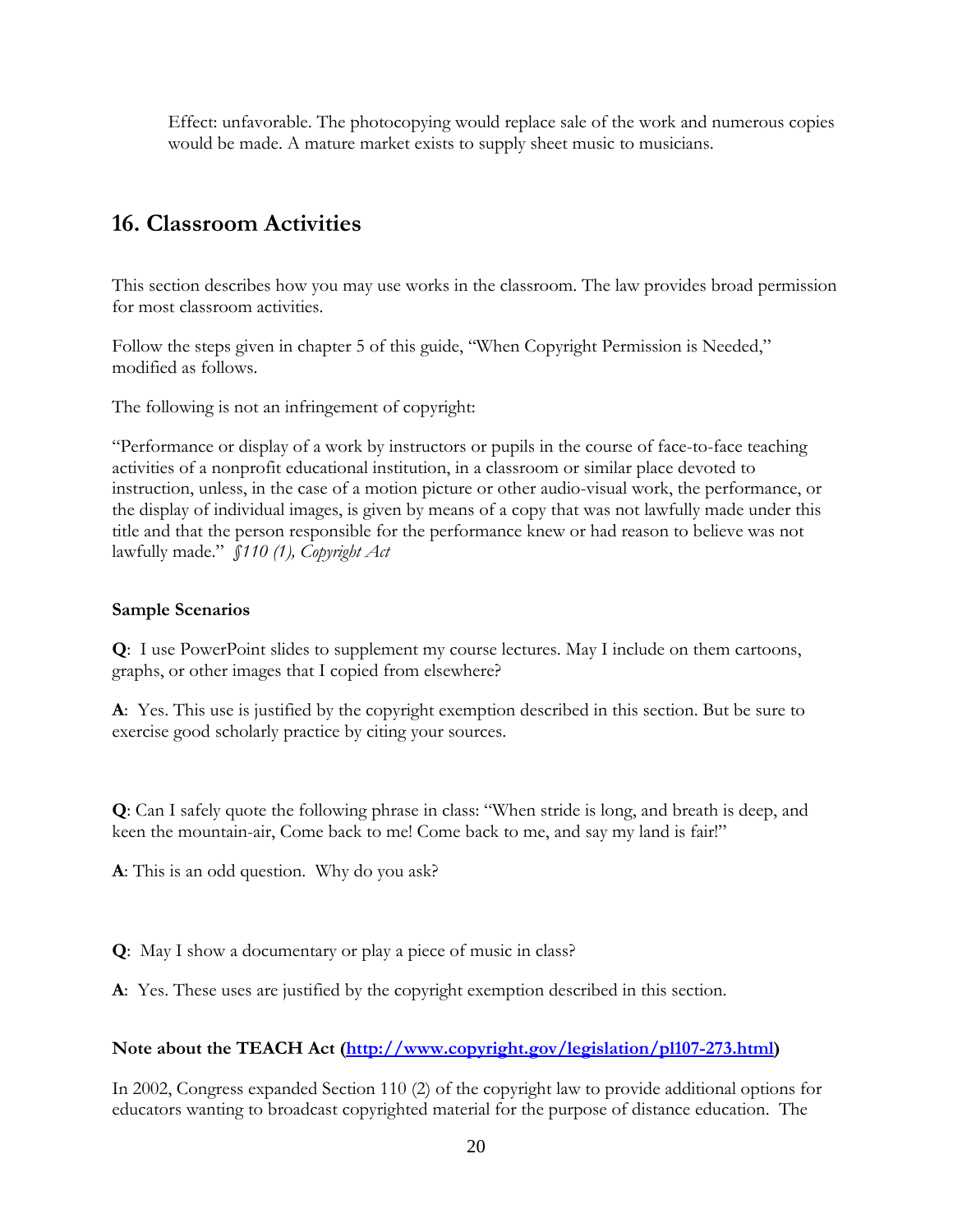Effect: unfavorable. The photocopying would replace sale of the work and numerous copies would be made. A mature market exists to supply sheet music to musicians.

### **16. Classroom Activities**

This section describes how you may use works in the classroom. The law provides broad permission for most classroom activities.

Follow the steps given in chapter 5 of this guide, "When Copyright Permission is Needed," modified as follows.

The following is not an infringement of copyright:

"Performance or display of a work by instructors or pupils in the course of face-to-face teaching activities of a nonprofit educational institution, in a classroom or similar place devoted to instruction, unless, in the case of a motion picture or other audio-visual work, the performance, or the display of individual images, is given by means of a copy that was not lawfully made under this title and that the person responsible for the performance knew or had reason to believe was not lawfully made." *§110 (1), Copyright Act* 

### **Sample Scenarios**

**Q**: I use PowerPoint slides to supplement my course lectures. May I include on them cartoons, graphs, or other images that I copied from elsewhere?

**A**: Yes. This use is justified by the copyright exemption described in this section. But be sure to exercise good scholarly practice by citing your sources.

**Q**: Can I safely quote the following phrase in class: "When stride is long, and breath is deep, and keen the mountain-air, Come back to me! Come back to me, and say my land is fair!"

**A**: This is an odd question. Why do you ask?

**Q**: May I show a documentary or play a piece of music in class?

**A**: Yes. These uses are justified by the copyright exemption described in this section.

Note about the TEACH Act (http://www.copyright.gov/legislation/pl107-273.html)

In 2002, Congress expanded Section 110 (2) of the copyright law to provide additional options for educators wanting to broadcast copyrighted material for the purpose of distance education. The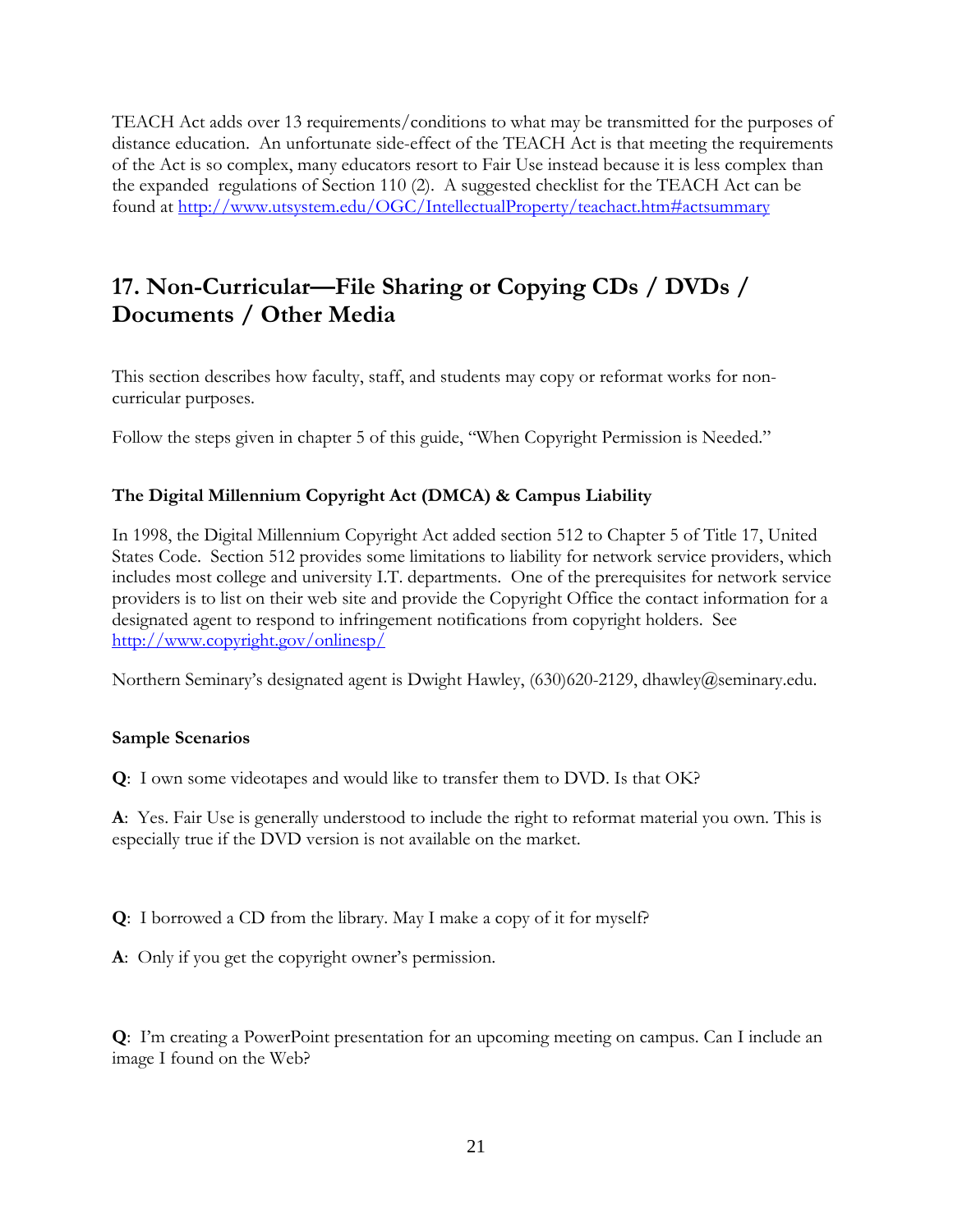TEACH Act adds over 13 requirements/conditions to what may be transmitted for the purposes of distance education. An unfortunate side-effect of the TEACH Act is that meeting the requirements of the Act is so complex, many educators resort to Fair Use instead because it is less complex than the expanded regulations of Section 110 (2). A suggested checklist for the TEACH Act can be found at http://www.utsystem.edu/OGC/IntellectualProperty/teachact.htm#actsummary

# **17. Non-Curricular—File Sharing or Copying CDs / DVDs / Documents / Other Media**

This section describes how faculty, staff, and students may copy or reformat works for noncurricular purposes.

Follow the steps given in chapter 5 of this guide, "When Copyright Permission is Needed."

### **The Digital Millennium Copyright Act (DMCA) & Campus Liability**

In 1998, the Digital Millennium Copyright Act added section 512 to Chapter 5 of Title 17, United States Code. Section 512 provides some limitations to liability for network service providers, which includes most college and university I.T. departments. One of the prerequisites for network service providers is to list on their web site and provide the Copyright Office the contact information for a designated agent to respond to infringement notifications from copyright holders. See http://www.copyright.gov/onlinesp/

Northern Seminary's designated agent is Dwight Hawley, (630)620-2129, dhawley@seminary.edu.

#### **Sample Scenarios**

**Q**: I own some videotapes and would like to transfer them to DVD. Is that OK?

**A**: Yes. Fair Use is generally understood to include the right to reformat material you own. This is especially true if the DVD version is not available on the market.

**Q**: I borrowed a CD from the library. May I make a copy of it for myself?

**A**: Only if you get the copyright owner's permission.

**Q**: I'm creating a PowerPoint presentation for an upcoming meeting on campus. Can I include an image I found on the Web?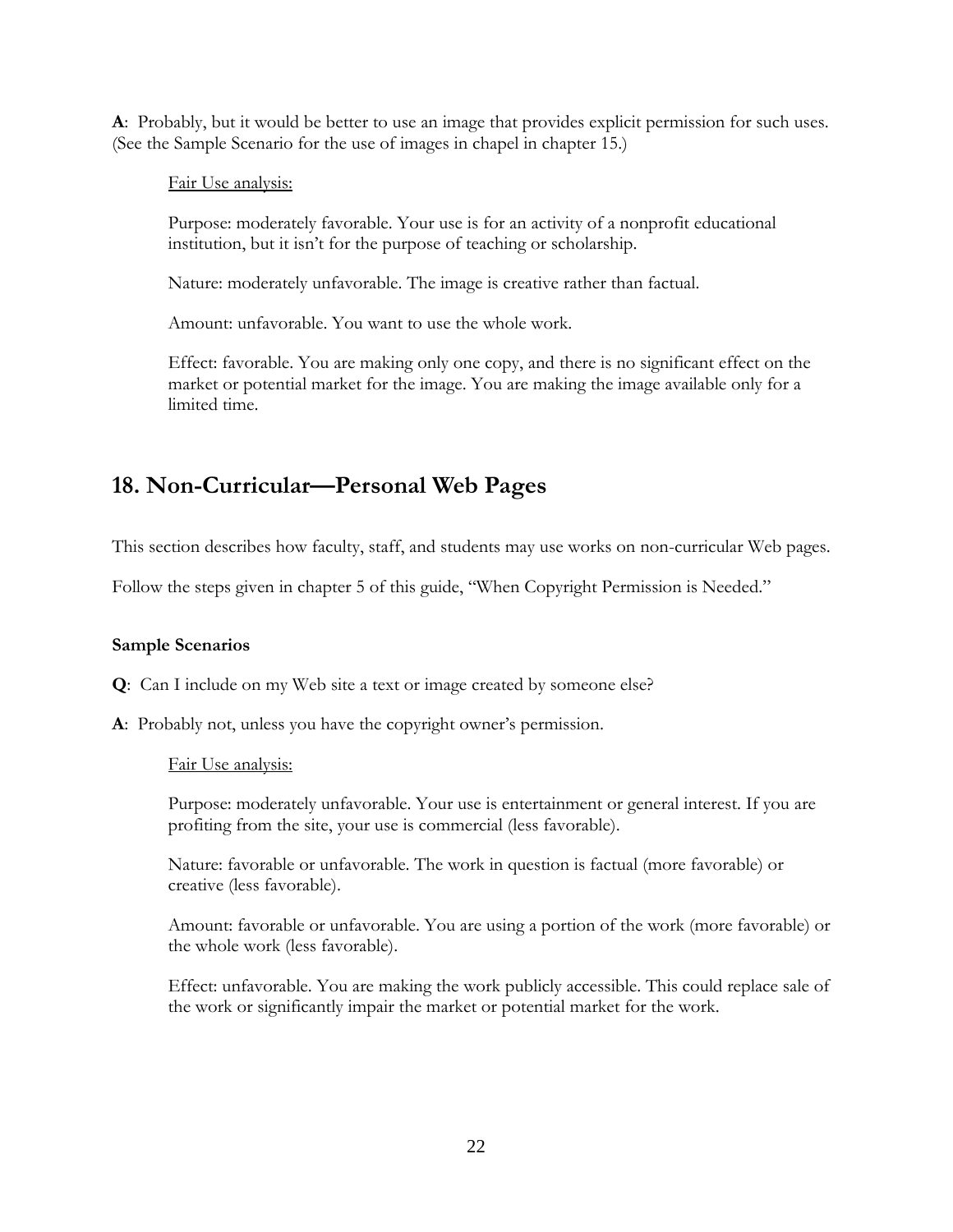**A**: Probably, but it would be better to use an image that provides explicit permission for such uses. (See the Sample Scenario for the use of images in chapel in chapter 15.)

Fair Use analysis:

Purpose: moderately favorable. Your use is for an activity of a nonprofit educational institution, but it isn't for the purpose of teaching or scholarship.

Nature: moderately unfavorable. The image is creative rather than factual.

Amount: unfavorable. You want to use the whole work.

Effect: favorable. You are making only one copy, and there is no significant effect on the market or potential market for the image. You are making the image available only for a limited time.

## **18. Non-Curricular—Personal Web Pages**

This section describes how faculty, staff, and students may use works on non-curricular Web pages.

Follow the steps given in chapter 5 of this guide, "When Copyright Permission is Needed."

### **Sample Scenarios**

**Q**: Can I include on my Web site a text or image created by someone else?

**A**: Probably not, unless you have the copyright owner's permission.

### Fair Use analysis:

Purpose: moderately unfavorable. Your use is entertainment or general interest. If you are profiting from the site, your use is commercial (less favorable).

Nature: favorable or unfavorable. The work in question is factual (more favorable) or creative (less favorable).

Amount: favorable or unfavorable. You are using a portion of the work (more favorable) or the whole work (less favorable).

Effect: unfavorable. You are making the work publicly accessible. This could replace sale of the work or significantly impair the market or potential market for the work.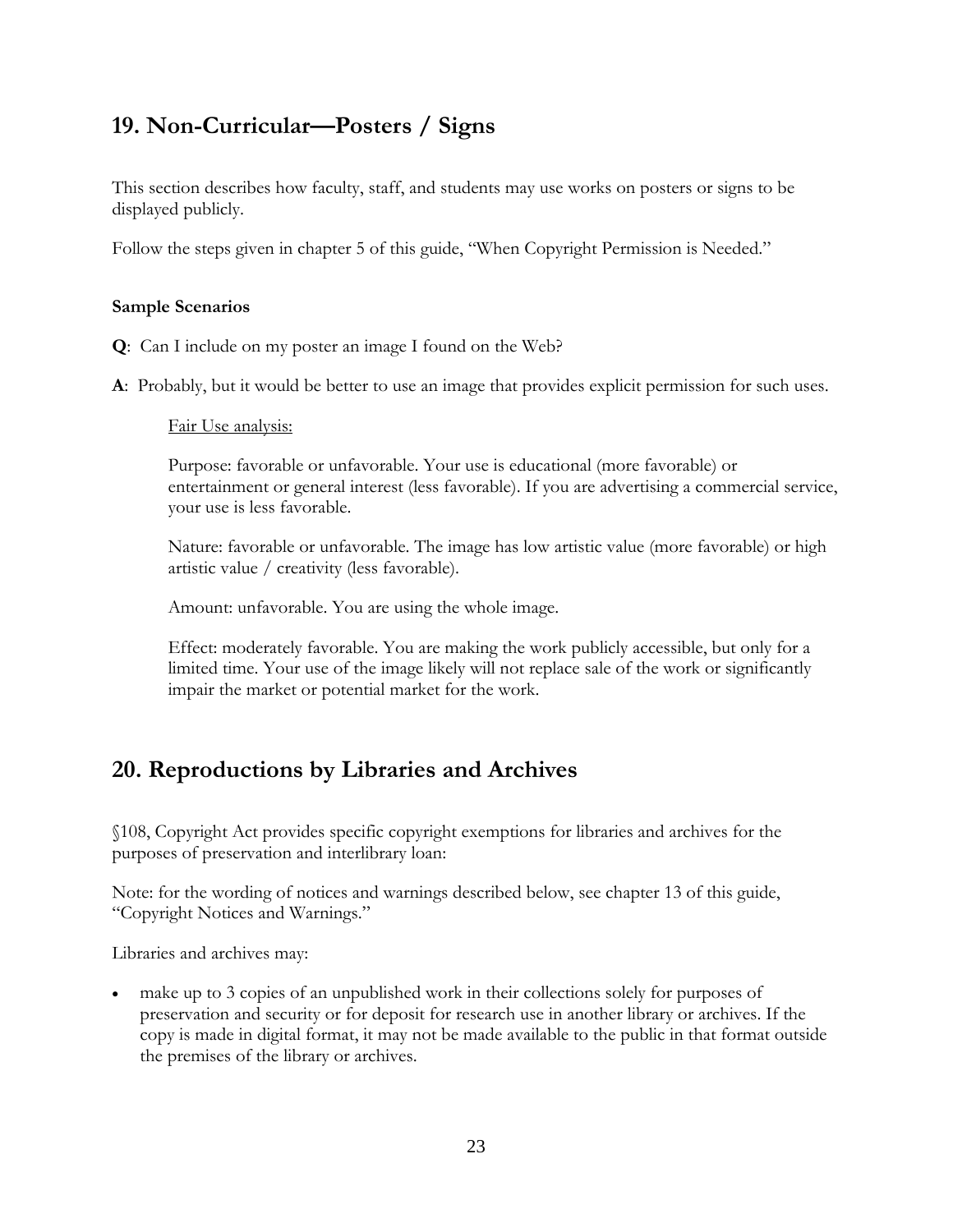# **19. Non-Curricular—Posters / Signs**

This section describes how faculty, staff, and students may use works on posters or signs to be displayed publicly.

Follow the steps given in chapter 5 of this guide, "When Copyright Permission is Needed."

#### **Sample Scenarios**

- **Q**: Can I include on my poster an image I found on the Web?
- **A**: Probably, but it would be better to use an image that provides explicit permission for such uses.

#### Fair Use analysis:

Purpose: favorable or unfavorable. Your use is educational (more favorable) or entertainment or general interest (less favorable). If you are advertising a commercial service, your use is less favorable.

Nature: favorable or unfavorable. The image has low artistic value (more favorable) or high artistic value / creativity (less favorable).

Amount: unfavorable. You are using the whole image.

Effect: moderately favorable. You are making the work publicly accessible, but only for a limited time. Your use of the image likely will not replace sale of the work or significantly impair the market or potential market for the work.

### **20. Reproductions by Libraries and Archives**

§108, Copyright Act provides specific copyright exemptions for libraries and archives for the purposes of preservation and interlibrary loan:

Note: for the wording of notices and warnings described below, see chapter 13 of this guide, "Copyright Notices and Warnings."

Libraries and archives may:

 make up to 3 copies of an unpublished work in their collections solely for purposes of preservation and security or for deposit for research use in another library or archives. If the copy is made in digital format, it may not be made available to the public in that format outside the premises of the library or archives.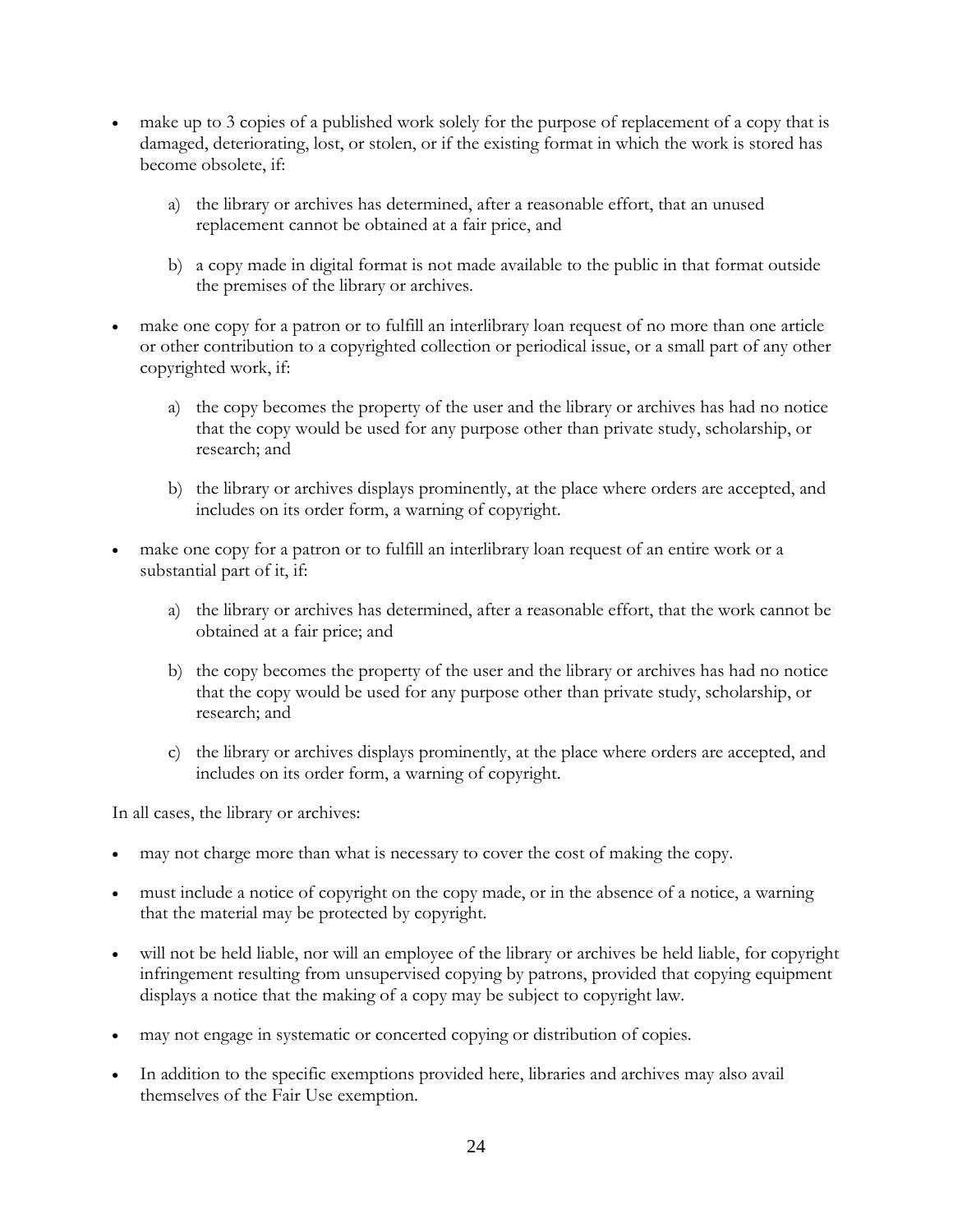- make up to 3 copies of a published work solely for the purpose of replacement of a copy that is damaged, deteriorating, lost, or stolen, or if the existing format in which the work is stored has become obsolete, if:
	- a) the library or archives has determined, after a reasonable effort, that an unused replacement cannot be obtained at a fair price, and
	- b) a copy made in digital format is not made available to the public in that format outside the premises of the library or archives.
- make one copy for a patron or to fulfill an interlibrary loan request of no more than one article or other contribution to a copyrighted collection or periodical issue, or a small part of any other copyrighted work, if:
	- a) the copy becomes the property of the user and the library or archives has had no notice that the copy would be used for any purpose other than private study, scholarship, or research; and
	- b) the library or archives displays prominently, at the place where orders are accepted, and includes on its order form, a warning of copyright.
- make one copy for a patron or to fulfill an interlibrary loan request of an entire work or a substantial part of it, if:
	- a) the library or archives has determined, after a reasonable effort, that the work cannot be obtained at a fair price; and
	- b) the copy becomes the property of the user and the library or archives has had no notice that the copy would be used for any purpose other than private study, scholarship, or research; and
	- c) the library or archives displays prominently, at the place where orders are accepted, and includes on its order form, a warning of copyright.

In all cases, the library or archives:

- may not charge more than what is necessary to cover the cost of making the copy.
- must include a notice of copyright on the copy made, or in the absence of a notice, a warning that the material may be protected by copyright.
- will not be held liable, nor will an employee of the library or archives be held liable, for copyright infringement resulting from unsupervised copying by patrons, provided that copying equipment displays a notice that the making of a copy may be subject to copyright law.
- may not engage in systematic or concerted copying or distribution of copies.
- In addition to the specific exemptions provided here, libraries and archives may also avail themselves of the Fair Use exemption.